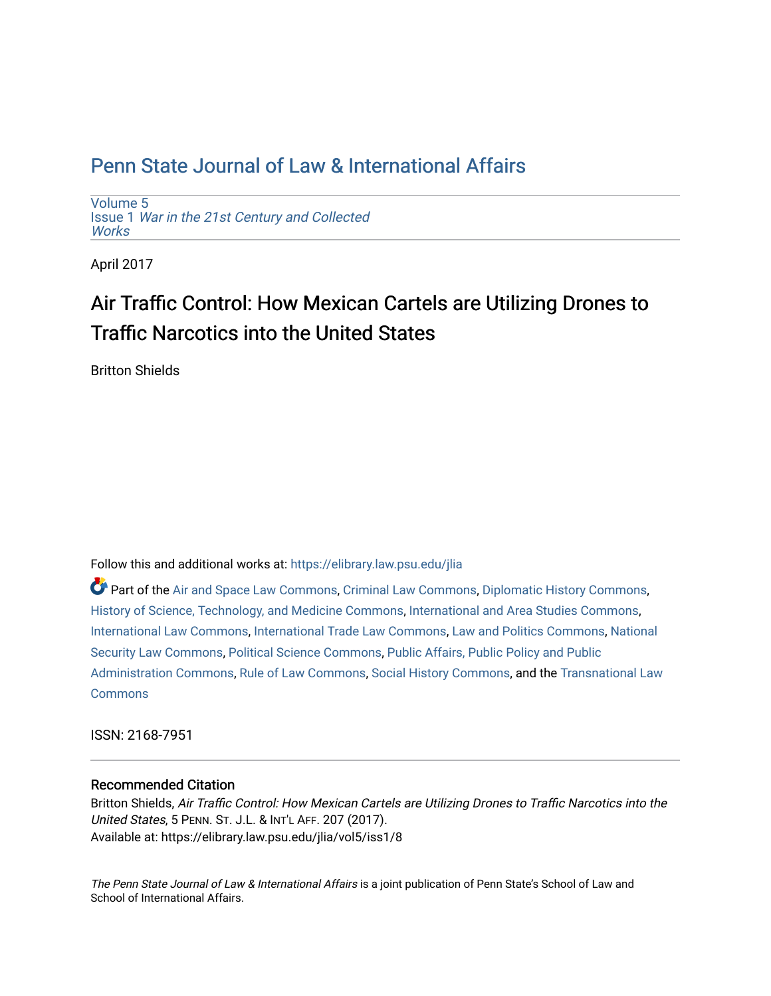[Volume 5](https://elibrary.law.psu.edu/jlia/vol5) Issue 1 [War in the 21st Century and Collected](https://elibrary.law.psu.edu/jlia/vol5/iss1) **Works** 

April 2017

# Air Traffic Control: How Mexican Cartels are Utilizing Drones to Traffic Narcotics into the United States

Britton Shields

Follow this and additional works at: [https://elibrary.law.psu.edu/jlia](https://elibrary.law.psu.edu/jlia?utm_source=elibrary.law.psu.edu%2Fjlia%2Fvol5%2Fiss1%2F8&utm_medium=PDF&utm_campaign=PDFCoverPages) 

Part of the [Air and Space Law Commons](http://network.bepress.com/hgg/discipline/830?utm_source=elibrary.law.psu.edu%2Fjlia%2Fvol5%2Fiss1%2F8&utm_medium=PDF&utm_campaign=PDFCoverPages), [Criminal Law Commons,](http://network.bepress.com/hgg/discipline/912?utm_source=elibrary.law.psu.edu%2Fjlia%2Fvol5%2Fiss1%2F8&utm_medium=PDF&utm_campaign=PDFCoverPages) [Diplomatic History Commons,](http://network.bepress.com/hgg/discipline/497?utm_source=elibrary.law.psu.edu%2Fjlia%2Fvol5%2Fiss1%2F8&utm_medium=PDF&utm_campaign=PDFCoverPages) [History of Science, Technology, and Medicine Commons,](http://network.bepress.com/hgg/discipline/500?utm_source=elibrary.law.psu.edu%2Fjlia%2Fvol5%2Fiss1%2F8&utm_medium=PDF&utm_campaign=PDFCoverPages) [International and Area Studies Commons](http://network.bepress.com/hgg/discipline/360?utm_source=elibrary.law.psu.edu%2Fjlia%2Fvol5%2Fiss1%2F8&utm_medium=PDF&utm_campaign=PDFCoverPages), [International Law Commons](http://network.bepress.com/hgg/discipline/609?utm_source=elibrary.law.psu.edu%2Fjlia%2Fvol5%2Fiss1%2F8&utm_medium=PDF&utm_campaign=PDFCoverPages), [International Trade Law Commons,](http://network.bepress.com/hgg/discipline/848?utm_source=elibrary.law.psu.edu%2Fjlia%2Fvol5%2Fiss1%2F8&utm_medium=PDF&utm_campaign=PDFCoverPages) [Law and Politics Commons,](http://network.bepress.com/hgg/discipline/867?utm_source=elibrary.law.psu.edu%2Fjlia%2Fvol5%2Fiss1%2F8&utm_medium=PDF&utm_campaign=PDFCoverPages) [National](http://network.bepress.com/hgg/discipline/1114?utm_source=elibrary.law.psu.edu%2Fjlia%2Fvol5%2Fiss1%2F8&utm_medium=PDF&utm_campaign=PDFCoverPages) [Security Law Commons](http://network.bepress.com/hgg/discipline/1114?utm_source=elibrary.law.psu.edu%2Fjlia%2Fvol5%2Fiss1%2F8&utm_medium=PDF&utm_campaign=PDFCoverPages), [Political Science Commons](http://network.bepress.com/hgg/discipline/386?utm_source=elibrary.law.psu.edu%2Fjlia%2Fvol5%2Fiss1%2F8&utm_medium=PDF&utm_campaign=PDFCoverPages), [Public Affairs, Public Policy and Public](http://network.bepress.com/hgg/discipline/393?utm_source=elibrary.law.psu.edu%2Fjlia%2Fvol5%2Fiss1%2F8&utm_medium=PDF&utm_campaign=PDFCoverPages)  [Administration Commons,](http://network.bepress.com/hgg/discipline/393?utm_source=elibrary.law.psu.edu%2Fjlia%2Fvol5%2Fiss1%2F8&utm_medium=PDF&utm_campaign=PDFCoverPages) [Rule of Law Commons,](http://network.bepress.com/hgg/discipline/1122?utm_source=elibrary.law.psu.edu%2Fjlia%2Fvol5%2Fiss1%2F8&utm_medium=PDF&utm_campaign=PDFCoverPages) [Social History Commons](http://network.bepress.com/hgg/discipline/506?utm_source=elibrary.law.psu.edu%2Fjlia%2Fvol5%2Fiss1%2F8&utm_medium=PDF&utm_campaign=PDFCoverPages), and the [Transnational Law](http://network.bepress.com/hgg/discipline/1123?utm_source=elibrary.law.psu.edu%2Fjlia%2Fvol5%2Fiss1%2F8&utm_medium=PDF&utm_campaign=PDFCoverPages)  **[Commons](http://network.bepress.com/hgg/discipline/1123?utm_source=elibrary.law.psu.edu%2Fjlia%2Fvol5%2Fiss1%2F8&utm_medium=PDF&utm_campaign=PDFCoverPages)** 

ISSN: 2168-7951

### Recommended Citation

Britton Shields, Air Traffic Control: How Mexican Cartels are Utilizing Drones to Traffic Narcotics into the United States, 5 PENN. ST. J.L. & INT'L AFF. 207 (2017). Available at: https://elibrary.law.psu.edu/jlia/vol5/iss1/8

The Penn State Journal of Law & International Affairs is a joint publication of Penn State's School of Law and School of International Affairs.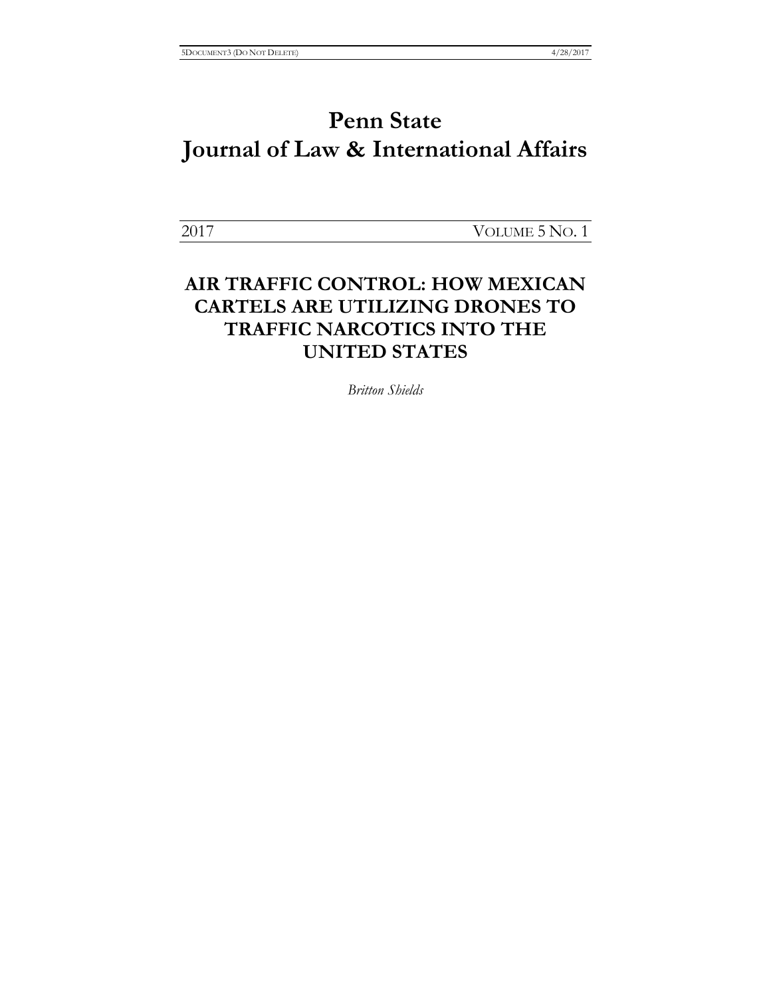2017 VOLUME 5 NO. 1

### **AIR TRAFFIC CONTROL: HOW MEXICAN CARTELS ARE UTILIZING DRONES TO TRAFFIC NARCOTICS INTO THE UNITED STATES**

*Britton Shields*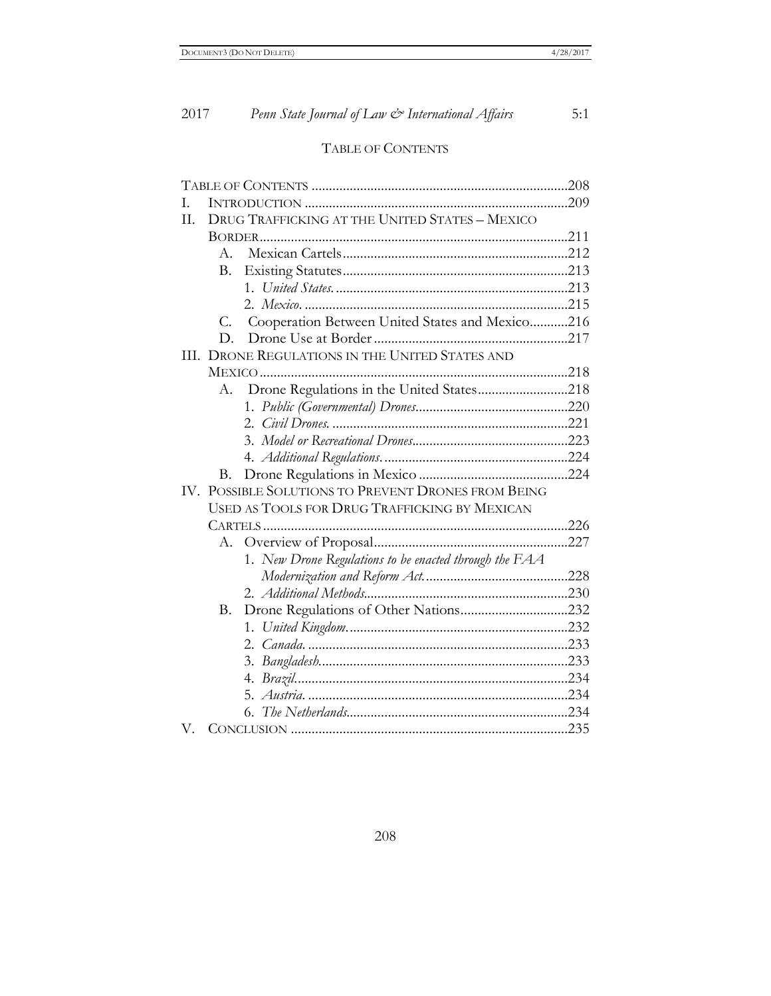### TABLE OF CONTENTS

| L                                                      |                                                |                                                        |  |
|--------------------------------------------------------|------------------------------------------------|--------------------------------------------------------|--|
| H.                                                     | DRUG TRAFFICKING AT THE UNITED STATES - MEXICO |                                                        |  |
|                                                        |                                                |                                                        |  |
|                                                        | $A_{-}$                                        |                                                        |  |
|                                                        | Β.                                             |                                                        |  |
|                                                        |                                                |                                                        |  |
|                                                        |                                                |                                                        |  |
|                                                        | C.                                             | Cooperation Between United States and Mexico216        |  |
|                                                        | D.                                             |                                                        |  |
| DRONE REGULATIONS IN THE UNITED STATES AND<br>HI.      |                                                |                                                        |  |
|                                                        |                                                |                                                        |  |
|                                                        | А.                                             | Drone Regulations in the United States218              |  |
|                                                        |                                                |                                                        |  |
|                                                        |                                                |                                                        |  |
|                                                        |                                                |                                                        |  |
|                                                        |                                                |                                                        |  |
|                                                        | В.                                             |                                                        |  |
| POSSIBLE SOLUTIONS TO PREVENT DRONES FROM BEING<br>IV. |                                                |                                                        |  |
| USED AS TOOLS FOR DRUG TRAFFICKING BY MEXICAN          |                                                |                                                        |  |
|                                                        |                                                |                                                        |  |
|                                                        |                                                |                                                        |  |
|                                                        |                                                | 1. New Drone Regulations to be enacted through the FAA |  |
|                                                        |                                                |                                                        |  |
|                                                        |                                                |                                                        |  |
|                                                        | В.                                             | Drone Regulations of Other Nations232                  |  |
|                                                        |                                                |                                                        |  |
|                                                        |                                                |                                                        |  |
|                                                        |                                                |                                                        |  |
|                                                        |                                                |                                                        |  |
|                                                        |                                                |                                                        |  |
|                                                        |                                                | 6.                                                     |  |
| V.                                                     |                                                |                                                        |  |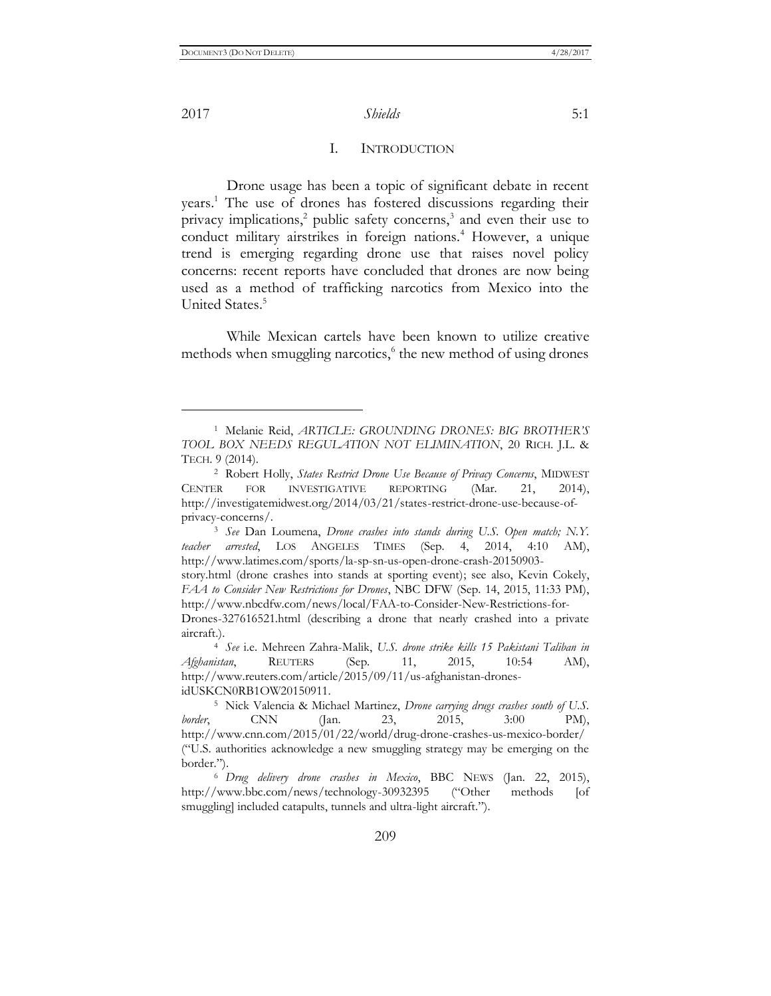$\overline{a}$ 

2017 *Shields* 5:1

#### I. INTRODUCTION

Drone usage has been a topic of significant debate in recent years.<sup>1</sup> The use of drones has fostered discussions regarding their privacy implications,<sup>2</sup> public safety concerns,<sup>3</sup> and even their use to conduct military airstrikes in foreign nations.<sup>4</sup> However, a unique trend is emerging regarding drone use that raises novel policy concerns: recent reports have concluded that drones are now being used as a method of trafficking narcotics from Mexico into the United States.<sup>5</sup>

While Mexican cartels have been known to utilize creative methods when smuggling narcotics,<sup>6</sup> the new method of using drones

<sup>3</sup> *See* Dan Loumena, *Drone crashes into stands during U.S. Open match; N.Y. teacher arrested*, LOS ANGELES TIMES (Sep. 4, 2014, 4:10 AM), [http://www.latimes.com/sports/la-sp-sn-us-open-drone-crash-20150903-](http://www.latimes.com/sports/la-sp-sn-us-open-drone-crash-20150903-story.html)

<sup>1</sup> Melanie Reid, *ARTICLE: GROUNDING DRONES: BIG BROTHER'S TOOL BOX NEEDS REGULATION NOT ELIMINATION*, 20 RICH. J.L. & TECH. 9 (2014).

<sup>2</sup> Robert Holly, *States Restrict Drone Use Because of Privacy Concerns*, MIDWEST CENTER FOR INVESTIGATIVE REPORTING (Mar. 21, 2014), [http://investigatemidwest.org/2014/03/21/states-restrict-drone-use-because-of](http://investigatemidwest.org/2014/03/21/states-restrict-drone-use-because-of-privacy-concerns/)[privacy-concerns/.](http://investigatemidwest.org/2014/03/21/states-restrict-drone-use-because-of-privacy-concerns/)

[story.html](http://www.latimes.com/sports/la-sp-sn-us-open-drone-crash-20150903-story.html) (drone crashes into stands at sporting event); see also, Kevin Cokely, *FAA to Consider New Restrictions for Drones*, NBC DFW (Sep. 14, 2015, 11:33 PM), [http://www.nbcdfw.com/news/local/FAA-to-Consider-New-Restrictions-for-](http://www.nbcdfw.com/news/local/FAA-to-Consider-New-Restrictions-for-Drones-327616521.html)

[Drones-327616521.html](http://www.nbcdfw.com/news/local/FAA-to-Consider-New-Restrictions-for-Drones-327616521.html) (describing a drone that nearly crashed into a private aircraft.).

<sup>4</sup> *See* i.e. Mehreen Zahra-Malik, *U.S. drone strike kills 15 Pakistani Taliban in Afghanistan*, REUTERS (Sep. 11, 2015, 10:54 AM), http://www.reuters.com/article/2015/09/11/us-afghanistan-dronesidUSKCN0RB1OW20150911.

<sup>5</sup> Nick Valencia & Michael Martinez, *Drone carrying drugs crashes south of U.S. border*, CNN (Jan. 23, 2015, 3:00 PM), <http://www.cnn.com/2015/01/22/world/drug-drone-crashes-us-mexico-border/> ("U.S. authorities acknowledge a new smuggling strategy may be emerging on the border.").

<sup>6</sup> *Drug delivery drone crashes in Mexico*, BBC NEWS (Jan. 22, 2015), <http://www.bbc.com/news/technology-30932395> ("Other methods [of smuggling] included catapults, tunnels and ultra-light aircraft.").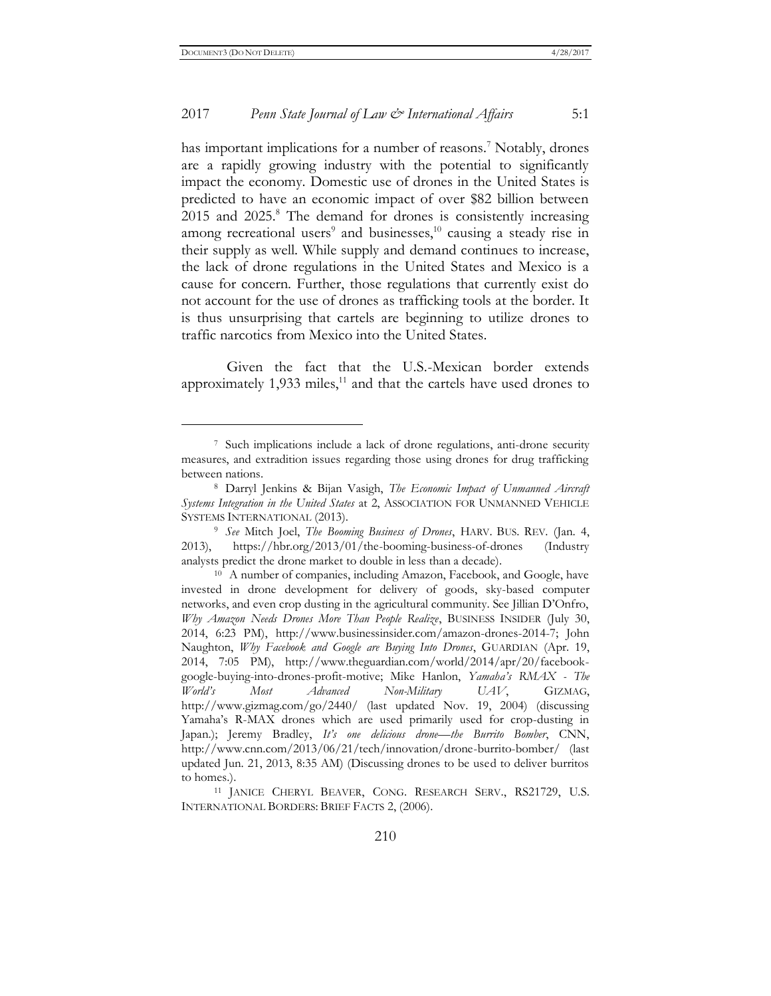$\overline{a}$ 

#### 2017 *Penn State Journal of Law & International Affairs* 5:1

has important implications for a number of reasons.<sup>7</sup> Notably, drones are a rapidly growing industry with the potential to significantly impact the economy. Domestic use of drones in the United States is predicted to have an economic impact of over \$82 billion between 2015 and 2025.<sup>8</sup> The demand for drones is consistently increasing among recreational users<sup>9</sup> and businesses,<sup>10</sup> causing a steady rise in their supply as well. While supply and demand continues to increase, the lack of drone regulations in the United States and Mexico is a cause for concern. Further, those regulations that currently exist do not account for the use of drones as trafficking tools at the border. It is thus unsurprising that cartels are beginning to utilize drones to traffic narcotics from Mexico into the United States.

Given the fact that the U.S.-Mexican border extends approximately  $1,933$  miles,<sup>11</sup> and that the cartels have used drones to

<sup>7</sup> Such implications include a lack of drone regulations, anti-drone security measures, and extradition issues regarding those using drones for drug trafficking between nations.

<sup>8</sup> Darryl Jenkins & Bijan Vasigh, *The Economic Impact of Unmanned Aircraft Systems Integration in the United States* at 2, ASSOCIATION FOR UNMANNED VEHICLE SYSTEMS INTERNATIONAL (2013).

<sup>9</sup> *See* Mitch Joel, *The Booming Business of Drones*, HARV. BUS. REV. (Jan. 4, 2013), <https://hbr.org/2013/01/the-booming-business-of-drones> (Industry analysts predict the drone market to double in less than a decade).

<sup>10</sup> A number of companies, including Amazon, Facebook, and Google, have invested in drone development for delivery of goods, sky-based computer networks, and even crop dusting in the agricultural community. See Jillian D'Onfro, *Why Amazon Needs Drones More Than People Realize*, BUSINESS INSIDER (July 30, 2014, 6:23 PM), [http://www.businessinsider.com/amazon-drones-2014-7;](http://www.businessinsider.com/amazon-drones-2014-7) John Naughton, *Why Facebook and Google are Buying Into Drones*, GUARDIAN (Apr. 19, 2014, 7:05 PM), [http://www.theguardian.com/world/2014/apr/20/facebook](http://www.theguardian.com/world/2014/apr/20/facebook-google-buying-into-drones-profit-motive)[google-buying-into-drones-profit-motive;](http://www.theguardian.com/world/2014/apr/20/facebook-google-buying-into-drones-profit-motive) Mike Hanlon, *Yamaha's RMAX - The World's Most Advanced Non-Military UAV*, GIZMAG, <http://www.gizmag.com/go/2440/> (last updated Nov. 19, 2004) (discussing Yamaha's R-MAX drones which are used primarily used for crop-dusting in Japan.); Jeremy Bradley, *It's one delicious drone—the Burrito Bomber*, CNN, <http://www.cnn.com/2013/06/21/tech/innovation/drone-burrito-bomber/> (last updated Jun. 21, 2013, 8:35 AM) (Discussing drones to be used to deliver burritos to homes.).

<sup>11</sup> JANICE CHERYL BEAVER, CONG. RESEARCH SERV., RS21729, U*.*S. INTERNATIONAL BORDERS: BRIEF FACTS 2, (2006).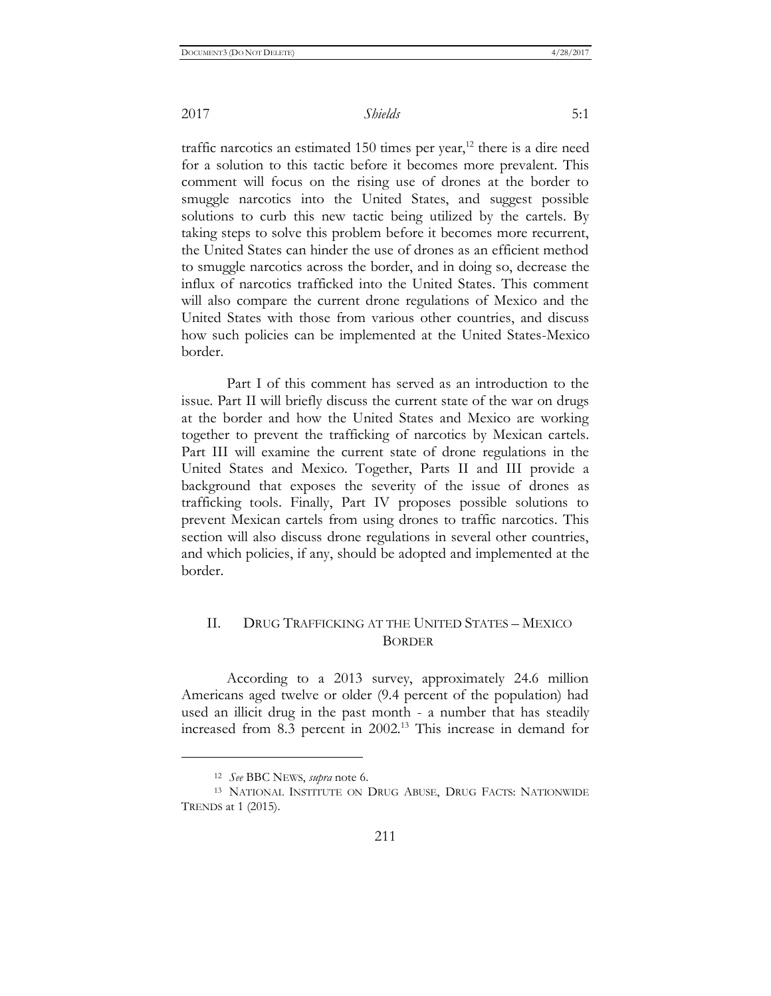traffic narcotics an estimated 150 times per year, $12$  there is a dire need for a solution to this tactic before it becomes more prevalent. This comment will focus on the rising use of drones at the border to smuggle narcotics into the United States, and suggest possible solutions to curb this new tactic being utilized by the cartels. By taking steps to solve this problem before it becomes more recurrent, the United States can hinder the use of drones as an efficient method to smuggle narcotics across the border, and in doing so, decrease the influx of narcotics trafficked into the United States. This comment will also compare the current drone regulations of Mexico and the United States with those from various other countries, and discuss how such policies can be implemented at the United States-Mexico border.

Part I of this comment has served as an introduction to the issue. Part II will briefly discuss the current state of the war on drugs at the border and how the United States and Mexico are working together to prevent the trafficking of narcotics by Mexican cartels. Part III will examine the current state of drone regulations in the United States and Mexico. Together, Parts II and III provide a background that exposes the severity of the issue of drones as trafficking tools. Finally, Part IV proposes possible solutions to prevent Mexican cartels from using drones to traffic narcotics. This section will also discuss drone regulations in several other countries, and which policies, if any, should be adopted and implemented at the border.

### II. DRUG TRAFFICKING AT THE UNITED STATES – MEXICO BORDER

According to a 2013 survey, approximately 24.6 million Americans aged twelve or older (9.4 percent of the population) had used an illicit drug in the past month - a number that has steadily increased from 8.3 percent in 2002.<sup>13</sup> This increase in demand for

<sup>12</sup> *See* BBC NEWS, *supra* note 6.

<sup>13</sup> NATIONAL INSTITUTE ON DRUG ABUSE, DRUG FACTS: NATIONWIDE TRENDS at 1 (2015).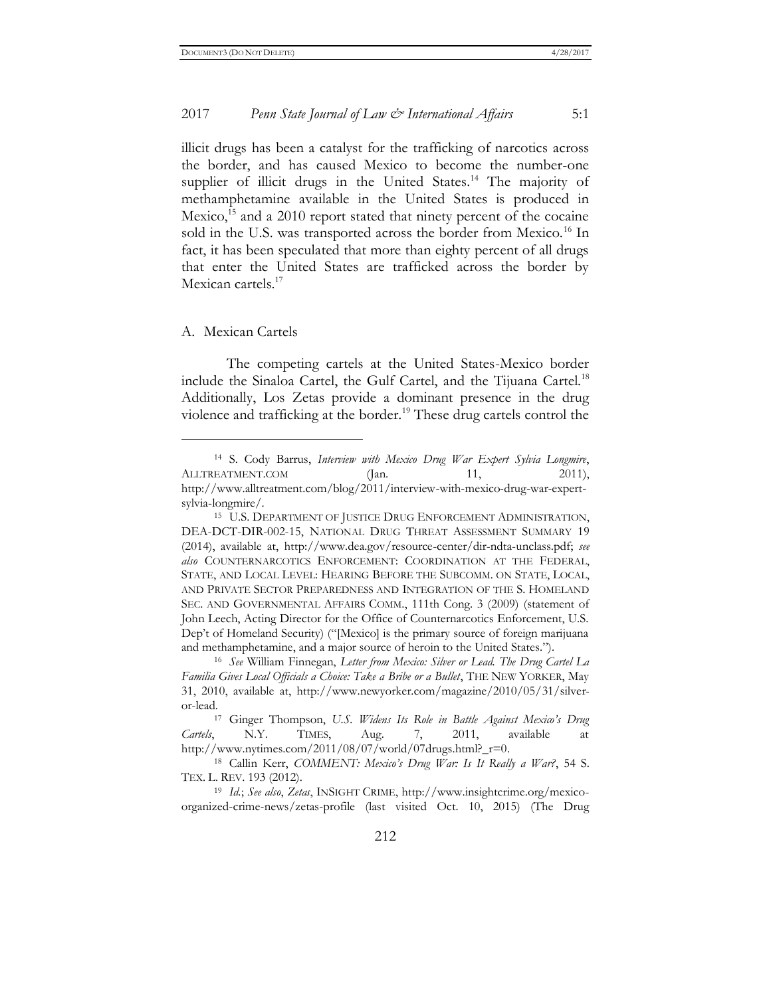illicit drugs has been a catalyst for the trafficking of narcotics across the border, and has caused Mexico to become the number-one supplier of illicit drugs in the United States.<sup>14</sup> The majority of methamphetamine available in the United States is produced in Mexico,<sup>15</sup> and a 2010 report stated that ninety percent of the cocaine sold in the U.S. was transported across the border from Mexico.<sup>16</sup> In fact, it has been speculated that more than eighty percent of all drugs that enter the United States are trafficked across the border by Mexican cartels.<sup>17</sup>

#### A. Mexican Cartels

 $\overline{a}$ 

The competing cartels at the United States-Mexico border include the Sinaloa Cartel, the Gulf Cartel, and the Tijuana Cartel.<sup>18</sup> Additionally, Los Zetas provide a dominant presence in the drug violence and trafficking at the border.<sup>19</sup> These drug cartels control the

<sup>14</sup> S. Cody Barrus, *Interview with Mexico Drug War Expert Sylvia Longmire*, ALLTREATMENT.COM (Jan. 11, 2011), [http://www.alltreatment.com/blog/2011/interview-with-mexico-drug-war-expert](http://www.alltreatment.com/blog/2011/interview-with-mexico-drug-war-expert-sylvia-longmire/)[sylvia-longmire/.](http://www.alltreatment.com/blog/2011/interview-with-mexico-drug-war-expert-sylvia-longmire/)

<sup>15</sup> U.S. DEPARTMENT OF JUSTICE DRUG ENFORCEMENT ADMINISTRATION, DEA-DCT-DIR-002-15, NATIONAL DRUG THREAT ASSESSMENT SUMMARY 19 (2014), available at, [http://www.dea.gov/resource-center/dir-ndta-unclass.pdf;](http://www.dea.gov/resource-center/dir-ndta-unclass.pdf) *see also* COUNTERNARCOTICS ENFORCEMENT: COORDINATION AT THE FEDERAL, STATE, AND LOCAL LEVEL: HEARING BEFORE THE SUBCOMM. ON STATE, LOCAL, AND PRIVATE SECTOR PREPAREDNESS AND INTEGRATION OF THE S. HOMELAND SEC. AND GOVERNMENTAL AFFAIRS COMM., 111th Cong. 3 (2009) (statement of John Leech, Acting Director for the Office of Counternarcotics Enforcement, U.S. Dep't of Homeland Security) ("[Mexico] is the primary source of foreign marijuana and methamphetamine, and a major source of heroin to the United States.").

<sup>16</sup> *See* William Finnegan, *Letter from Mexico: Silver or Lead. The Drug Cartel La Familia Gives Local Officials a Choice: Take a Bribe or a Bullet*, THE NEW YORKER, May 31, 2010, available at, http://www.newyorker.com/magazine/2010/05/31/silveror-lead.

<sup>17</sup> Ginger Thompson, *U.S. Widens Its Role in Battle Against Mexico's Drug Cartels*, N.Y. TIMES, Aug. 7, 2011, available at [http://www.nytimes.com/2011/08/07/world/07drugs.html?\\_r=0.](http://www.nytimes.com/2011/08/07/world/07drugs.html?_r=0)

<sup>18</sup> Callin Kerr, *COMMENT: Mexico's Drug War: Is It Really a War?*, 54 S. TEX. L. REV. 193 (2012).

<sup>19</sup> *Id.*; *See also*, *Zetas*, INSIGHT CRIME, [http://www.insightcrime.org/mexico](http://www.insightcrime.org/mexico-organized-crime-news/zetas-profile)[organized-crime-news/zetas-profile](http://www.insightcrime.org/mexico-organized-crime-news/zetas-profile) (last visited Oct. 10, 2015) (The Drug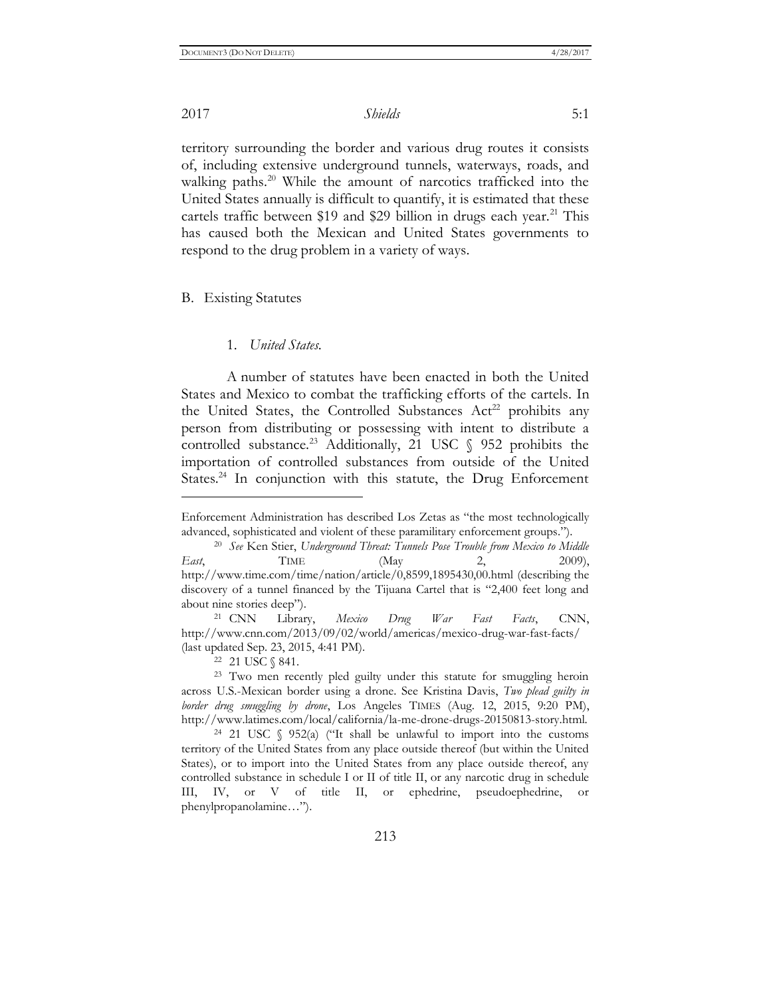$\overline{a}$ 

2017 *Shields* 5:1

territory surrounding the border and various drug routes it consists of, including extensive underground tunnels, waterways, roads, and walking paths.<sup>20</sup> While the amount of narcotics trafficked into the United States annually is difficult to quantify, it is estimated that these cartels traffic between \$19 and \$29 billion in drugs each year.<sup>21</sup> This has caused both the Mexican and United States governments to respond to the drug problem in a variety of ways.

B. Existing Statutes

#### 1. *United States*.

A number of statutes have been enacted in both the United States and Mexico to combat the trafficking efforts of the cartels. In the United States, the Controlled Substances  $Act^{22}$  prohibits any person from distributing or possessing with intent to distribute a controlled substance.<sup>23</sup> Additionally, 21 USC  $\frac{6}{952}$  prohibits the importation of controlled substances from outside of the United States.<sup>24</sup> In conjunction with this statute, the Drug Enforcement

<sup>21</sup> CNN Library, *Mexico Drug War Fast Facts*, CNN, http://www.cnn.com/2013/09/02/world/americas/mexico-drug-war-fast-facts/ (last updated Sep. 23, 2015, 4:41 PM).

<sup>22</sup> 21 USC § 841.

<sup>24</sup> 21 USC § 952(a) ("It shall be unlawful to import into the customs territory of the United States from any place outside thereof (but within the United States), or to import into the United States from any place outside thereof, any controlled substance in schedule I or II of title II, or any narcotic drug in schedule III, IV, or V of title II, or ephedrine, pseudoephedrine, or phenylpropanolamine…").

Enforcement Administration has described Los Zetas as "the most technologically advanced, sophisticated and violent of these paramilitary enforcement groups.").

<sup>20</sup> *See* Ken Stier, *Underground Threat: Tunnels Pose Trouble from Mexico to Middle East*, TIME (May 2, 2009), <http://www.time.com/time/nation/article/0,8599,1895430,00.html> (describing the discovery of a tunnel financed by the Tijuana Cartel that is "2,400 feet long and about nine stories deep").

<sup>23</sup> Two men recently pled guilty under this statute for smuggling heroin across U.S.-Mexican border using a drone. See Kristina Davis, *Two plead guilty in border drug smuggling by drone*, Los Angeles TIMES (Aug. 12, 2015, 9:20 PM), [http://www.latimes.com/local/california/la-me-drone-drugs-20150813-story.html.](http://www.latimes.com/local/california/la-me-drone-drugs-20150813-story.html)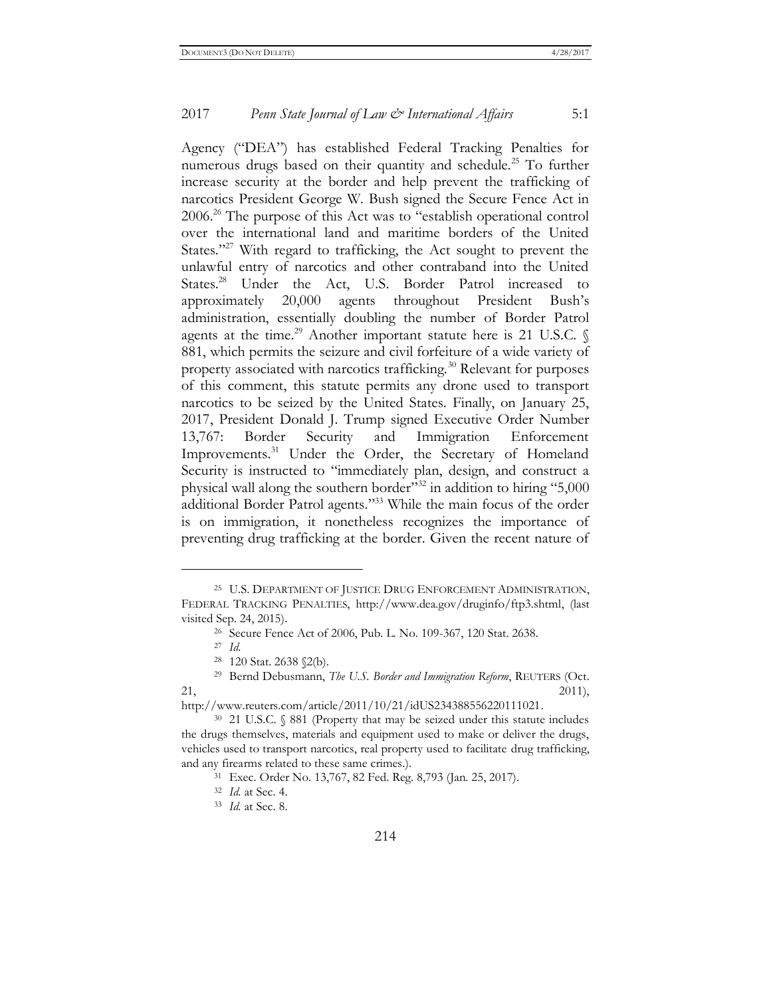Agency ("DEA") has established Federal Tracking Penalties for numerous drugs based on their quantity and schedule.<sup>25</sup> To further increase security at the border and help prevent the trafficking of narcotics President George W. Bush signed the Secure Fence Act in 2006.<sup>26</sup> The purpose of this Act was to "establish operational control over the international land and maritime borders of the United States."<sup>27</sup> With regard to trafficking, the Act sought to prevent the unlawful entry of narcotics and other contraband into the United States.<sup>28</sup> Under the Act, U.S. Border Patrol increased to approximately 20,000 agents throughout President Bush's administration, essentially doubling the number of Border Patrol agents at the time.<sup>29</sup> Another important statute here is 21 U.S.C.  $\oint$ 881, which permits the seizure and civil forfeiture of a wide variety of property associated with narcotics trafficking.<sup>30</sup> Relevant for purposes of this comment, this statute permits any drone used to transport narcotics to be seized by the United States. Finally, on January 25, 2017, President Donald J. Trump signed Executive Order Number 13,767: Border Security and Immigration Enforcement Improvements.<sup>31</sup> Under the Order, the Secretary of Homeland Security is instructed to "immediately plan, design, and construct a physical wall along the southern border"<sup>32</sup> in addition to hiring "5,000 additional Border Patrol agents." <sup>33</sup> While the main focus of the order is on immigration, it nonetheless recognizes the importance of preventing drug trafficking at the border. Given the recent nature of

<sup>25</sup> U.S. DEPARTMENT OF JUSTICE DRUG ENFORCEMENT ADMINISTRATION, FEDERAL TRACKING PENALTIES, [http://www.dea.gov/druginfo/ftp3.shtml,](http://www.dea.gov/druginfo/ftp3.shtml) (last visited Sep. 24, 2015).

<sup>26</sup> Secure Fence Act of 2006, Pub. L. No. 109-367, 120 Stat. 2638.

<sup>27</sup> *Id.*

<sup>28</sup> 120 Stat. 2638 §2(b).

<sup>29</sup> Bernd Debusmann, *The U.S. Border and Immigration Reform*, REUTERS (Oct.  $2011,$ 

[http://www.reuters.com/article/2011/10/21/idUS234388556220111021.](http://www.reuters.com/article/2011/10/21/idUS234388556220111021)

<sup>30</sup> 21 U.S.C. § 881 (Property that may be seized under this statute includes the drugs themselves, materials and equipment used to make or deliver the drugs, vehicles used to transport narcotics, real property used to facilitate drug trafficking, and any firearms related to these same crimes.).

<sup>31</sup> Exec. Order No. 13,767, 82 Fed. Reg. 8,793 (Jan. 25, 2017).

<sup>32</sup> *Id.* at Sec. 4.

<sup>33</sup> *Id.* at Sec. 8.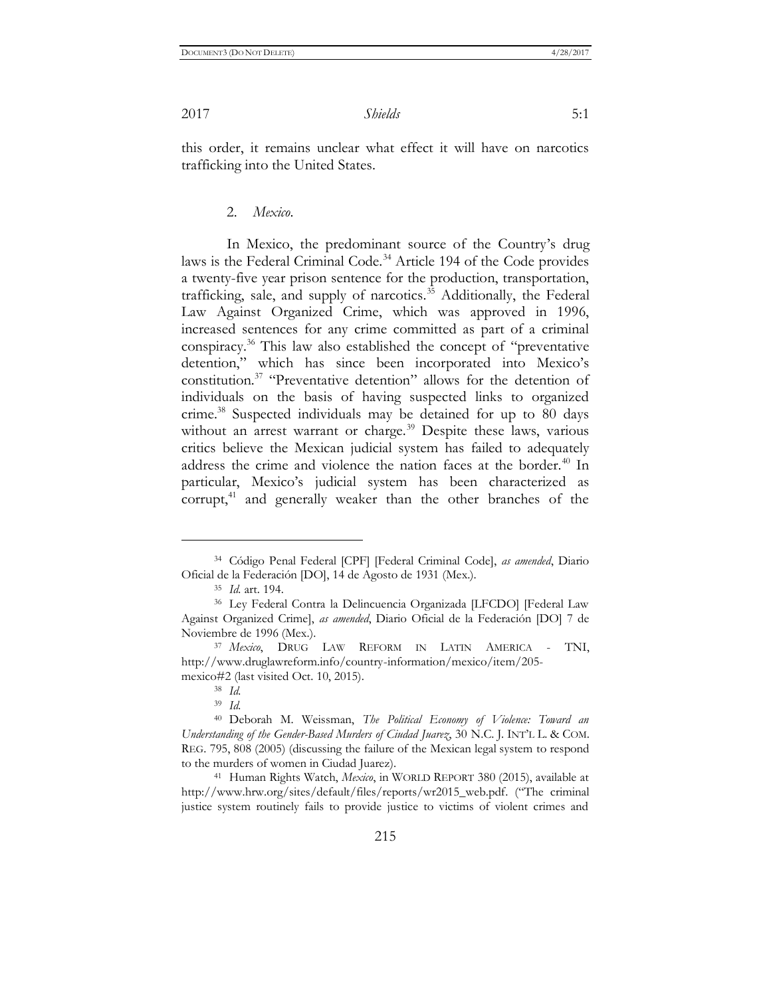this order, it remains unclear what effect it will have on narcotics trafficking into the United States.

#### 2. *Mexico*.

In Mexico, the predominant source of the Country's drug laws is the Federal Criminal Code.<sup>34</sup> Article 194 of the Code provides a twenty-five year prison sentence for the production, transportation, trafficking, sale, and supply of narcotics.<sup>35</sup> Additionally, the Federal Law Against Organized Crime, which was approved in 1996, increased sentences for any crime committed as part of a criminal conspiracy.<sup>36</sup> This law also established the concept of "preventative detention," which has since been incorporated into Mexico's constitution.<sup>37</sup> "Preventative detention" allows for the detention of individuals on the basis of having suspected links to organized crime.<sup>38</sup> Suspected individuals may be detained for up to 80 days without an arrest warrant or charge.<sup>39</sup> Despite these laws, various critics believe the Mexican judicial system has failed to adequately address the crime and violence the nation faces at the border.<sup>40</sup> In particular, Mexico's judicial system has been characterized as corrupt,<sup>41</sup> and generally weaker than the other branches of the

 $\overline{a}$ 

<sup>41</sup> Human Rights Watch, *Mexico*, in WORLD REPORT 380 (2015), available at [http://www.hrw.org/sites/default/files/reports/wr2015\\_web.pdf](http://www.hrw.org/sites/default/files/reports/wr2015_web.pdf). ("The criminal justice system routinely fails to provide justice to victims of violent crimes and

<sup>34</sup> Código Penal Federal [CPF] [Federal Criminal Code], *as amended*, Diario Oficial de la Federación [DO], 14 de Agosto de 1931 (Mex.).

<sup>35</sup> *Id.* art. 194.

<sup>36</sup> Ley Federal Contra la Delincuencia Organizada [LFCDO] [Federal Law Against Organized Crime], *as amended*, Diario Oficial de la Federación [DO] 7 de Noviembre de 1996 (Mex.).

<sup>37</sup> *Mexico*, DRUG LAW REFORM IN LATIN AMERICA - TNI, [http://www.druglawreform.info/country-information/mexico/item/205](http://www.druglawreform.info/country-information/mexico/item/205-mexico#2) [mexico#2](http://www.druglawreform.info/country-information/mexico/item/205-mexico#2) (last visited Oct. 10, 2015).

<sup>38</sup> *Id.*

<sup>39</sup> *Id.*

<sup>40</sup> Deborah M. Weissman, *The Political Economy of Violence: Toward an Understanding of the Gender-Based Murders of Ciudad Juarez*, 30 N.C. J. INT'L L. & COM. REG. 795, 808 (2005) (discussing the failure of the Mexican legal system to respond to the murders of women in Ciudad Juarez).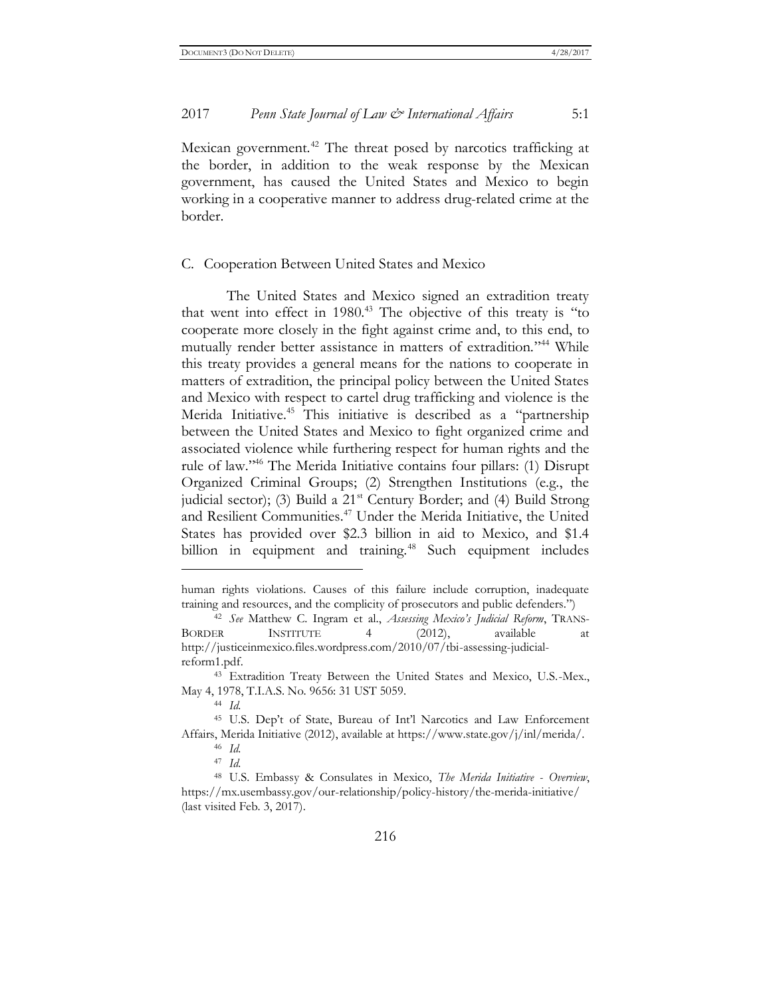Mexican government.<sup>42</sup> The threat posed by narcotics trafficking at the border, in addition to the weak response by the Mexican government, has caused the United States and Mexico to begin working in a cooperative manner to address drug-related crime at the border.

#### C. Cooperation Between United States and Mexico

The United States and Mexico signed an extradition treaty that went into effect in  $1980<sup>43</sup>$ . The objective of this treaty is "to cooperate more closely in the fight against crime and, to this end, to mutually render better assistance in matters of extradition." <sup>44</sup> While this treaty provides a general means for the nations to cooperate in matters of extradition, the principal policy between the United States and Mexico with respect to cartel drug trafficking and violence is the Merida Initiative.<sup>45</sup> This initiative is described as a "partnership" between the United States and Mexico to fight organized crime and associated violence while furthering respect for human rights and the rule of law." <sup>46</sup> The Merida Initiative contains four pillars: (1) Disrupt Organized Criminal Groups; (2) Strengthen Institutions (e.g., the judicial sector); (3) Build a 21<sup>st</sup> Century Border; and (4) Build Strong and Resilient Communities.<sup>47</sup> Under the Merida Initiative, the United States has provided over \$2.3 billion in aid to Mexico, and \$1.4 billion in equipment and training.<sup>48</sup> Such equipment includes

human rights violations. Causes of this failure include corruption, inadequate training and resources, and the complicity of prosecutors and public defenders.")

<sup>42</sup> *See* Matthew C. Ingram et al., *Assessing Mexico's Judicial Reform*, TRANS-BORDER INSTITUTE 4 (2012), available at http://justiceinmexico.files.wordpress.com/2010/07/tbi-assessing-judicialreform1.pdf.

<sup>43</sup> Extradition Treaty Between the United States and Mexico, U.S.-Mex., May 4, 1978, T.I.A.S. No. 9656: 31 UST 5059.

<sup>44</sup> *Id.*

<sup>45</sup> U.S. Dep't of State, Bureau of Int'l Narcotics and Law Enforcement Affairs, Merida Initiative (2012), available at https://www.state.gov/j/inl/merida/.

<sup>46</sup> *Id.*

<sup>47</sup> *Id.*

<sup>48</sup> U.S. Embassy & Consulates in Mexico, *The Merida Initiative - Overview*, https://mx.usembassy.gov/our-relationship/policy-history/the-merida-initiative/ (last visited Feb. 3, 2017).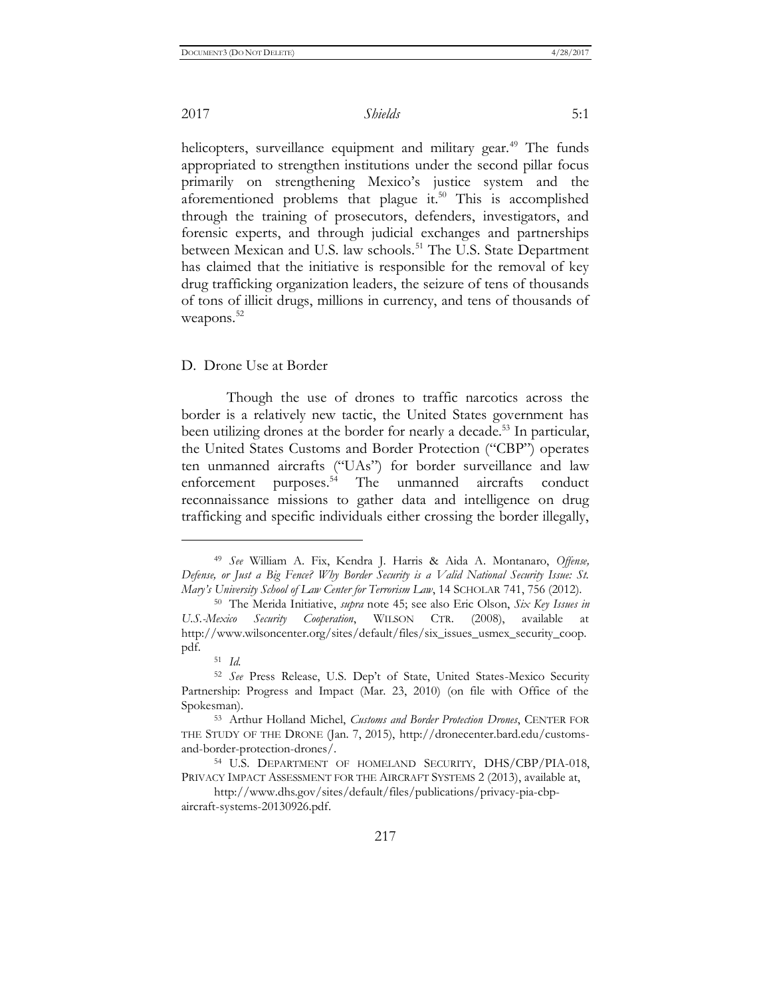helicopters, surveillance equipment and military gear.<sup>49</sup> The funds appropriated to strengthen institutions under the second pillar focus primarily on strengthening Mexico's justice system and the aforementioned problems that plague it. $50$  This is accomplished through the training of prosecutors, defenders, investigators, and forensic experts, and through judicial exchanges and partnerships between Mexican and U.S. law schools.<sup>51</sup> The U.S. State Department has claimed that the initiative is responsible for the removal of key drug trafficking organization leaders, the seizure of tens of thousands of tons of illicit drugs, millions in currency, and tens of thousands of weapons.<sup>52</sup>

#### D. Drone Use at Border

Though the use of drones to traffic narcotics across the border is a relatively new tactic, the United States government has been utilizing drones at the border for nearly a decade.<sup>53</sup> In particular, the United States Customs and Border Protection ("CBP") operates ten unmanned aircrafts ("UAs") for border surveillance and law enforcement purposes.<sup>54</sup> The unmanned aircrafts conduct reconnaissance missions to gather data and intelligence on drug trafficking and specific individuals either crossing the border illegally,

<sup>49</sup> *See* William A. Fix, Kendra J. Harris & Aida A. Montanaro, *Offense, Defense, or Just a Big Fence? Why Border Security is a Valid National Security Issue: St. Mary's University School of Law Center for Terrorism Law*, 14 SCHOLAR 741, 756 (2012).

<sup>50</sup> The Merida Initiative, *supra* note 45; see also Eric Olson, *Six Key Issues in U.S.-Mexico Security Cooperation*, WILSON CTR. (2008), available at http://www.wilsoncenter.org/sites/default/files/six\_issues\_usmex\_security\_coop. pdf.

<sup>51</sup> *Id.*

<sup>52</sup> *See* Press Release, U.S. Dep't of State, United States-Mexico Security Partnership: Progress and Impact (Mar. 23, 2010) (on file with Office of the Spokesman).

<sup>53</sup> Arthur Holland Michel, *Customs and Border Protection Drones*, CENTER FOR THE STUDY OF THE DRONE (Jan. 7, 2015), [http://dronecenter.bard.edu/customs](http://dronecenter.bard.edu/customs-and-border-protection-drones/)[and-border-protection-drones/.](http://dronecenter.bard.edu/customs-and-border-protection-drones/)

<sup>54</sup> U.S. DEPARTMENT OF HOMELAND SECURITY, DHS/CBP/PIA-018, PRIVACY IMPACT ASSESSMENT FOR THE AIRCRAFT SYSTEMS 2 (2013), available at,

[http://www.dhs.gov/sites/default/files/publications/privacy-pia-cbp](http://www.dhs.gov/sites/default/files/publications/privacy-pia-cbp-aircraft-systems-20130926.pdf)[aircraft-systems-20130926.pdf.](http://www.dhs.gov/sites/default/files/publications/privacy-pia-cbp-aircraft-systems-20130926.pdf)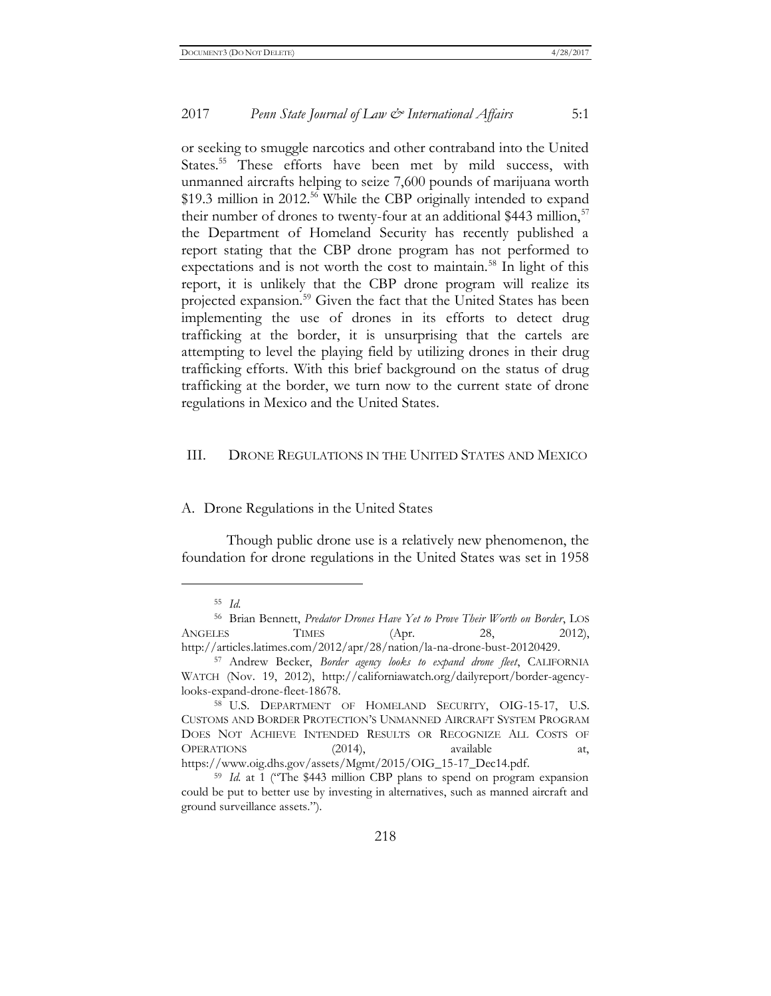or seeking to smuggle narcotics and other contraband into the United States.<sup>55</sup> These efforts have been met by mild success, with unmanned aircrafts helping to seize 7,600 pounds of marijuana worth \$19.3 million in 2012.<sup>56</sup> While the CBP originally intended to expand their number of drones to twenty-four at an additional \$443 million,  $57$ the Department of Homeland Security has recently published a report stating that the CBP drone program has not performed to expectations and is not worth the cost to maintain.<sup>58</sup> In light of this report, it is unlikely that the CBP drone program will realize its projected expansion.<sup>59</sup> Given the fact that the United States has been implementing the use of drones in its efforts to detect drug trafficking at the border, it is unsurprising that the cartels are attempting to level the playing field by utilizing drones in their drug trafficking efforts. With this brief background on the status of drug trafficking at the border, we turn now to the current state of drone regulations in Mexico and the United States.

#### III. DRONE REGULATIONS IN THE UNITED STATES AND MEXICO

A. Drone Regulations in the United States

Though public drone use is a relatively new phenomenon, the foundation for drone regulations in the United States was set in 1958

<sup>55</sup> *Id.*

<sup>56</sup> Brian Bennett, *Predator Drones Have Yet to Prove Their Worth on Border*, LOS ANGELES TIMES (Apr. 28, 2012), [http://articles.latimes.com/2012/apr/28/nation/la-na-drone-bust-20120429.](http://articles.latimes.com/2012/apr/28/nation/la-na-drone-bust-20120429)

<sup>57</sup> Andrew Becker, *Border agency looks to expand drone fleet*, CALIFORNIA WATCH (Nov. 19, 2012), [http://californiawatch.org/dailyreport/border-agency](http://californiawatch.org/dailyreport/border-agency-looks-expand-drone-fleet-18678)[looks-expand-drone-fleet-18678.](http://californiawatch.org/dailyreport/border-agency-looks-expand-drone-fleet-18678)

<sup>58</sup> U.S. DEPARTMENT OF HOMELAND SECURITY, OIG-15-17, U.S. CUSTOMS AND BORDER PROTECTION'S UNMANNED AIRCRAFT SYSTEM PROGRAM DOES NOT ACHIEVE INTENDED RESULTS OR RECOGNIZE ALL COSTS OF OPERATIONS (2014), available at, https://www.oig.dhs.gov/assets/Mgmt/2015/OIG\_15-17\_Dec14.pdf.

<sup>59</sup> *Id.* at 1 ("The \$443 million CBP plans to spend on program expansion could be put to better use by investing in alternatives, such as manned aircraft and ground surveillance assets.").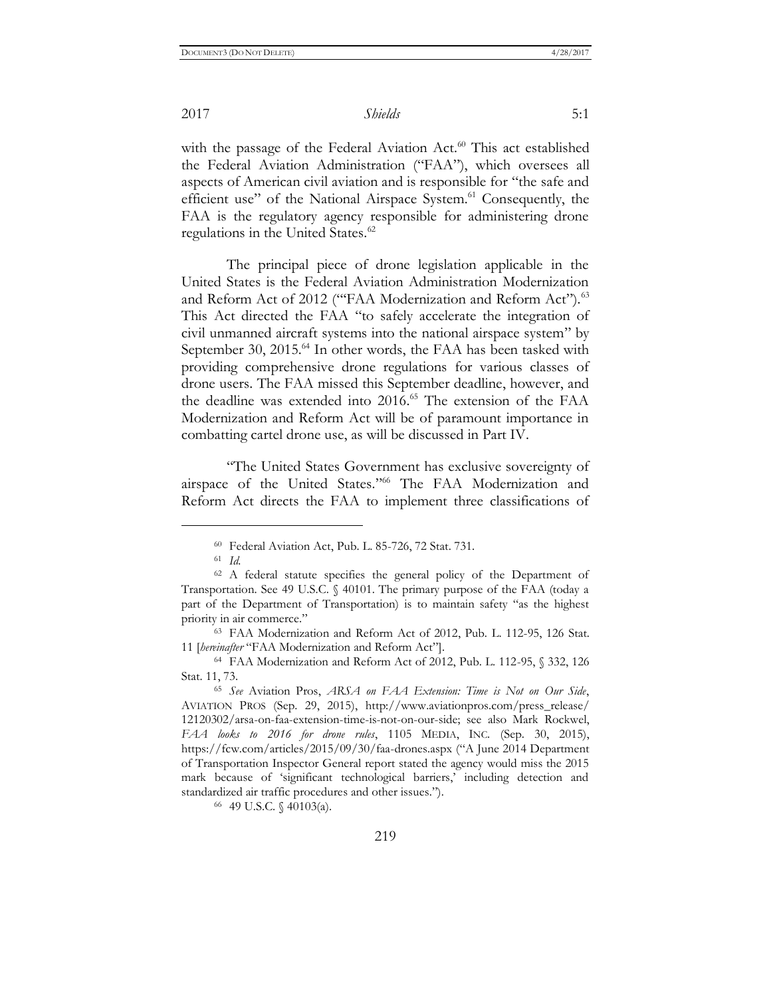with the passage of the Federal Aviation Act.<sup>60</sup> This act established the Federal Aviation Administration ("FAA"), which oversees all aspects of American civil aviation and is responsible for "the safe and efficient use" of the National Airspace System.<sup>61</sup> Consequently, the FAA is the regulatory agency responsible for administering drone regulations in the United States.<sup>62</sup>

The principal piece of drone legislation applicable in the United States is the Federal Aviation Administration Modernization and Reform Act of 2012 ("FAA Modernization and Reform Act").<sup>63</sup> This Act directed the FAA "to safely accelerate the integration of civil unmanned aircraft systems into the national airspace system" by September 30, 2015.<sup>64</sup> In other words, the FAA has been tasked with providing comprehensive drone regulations for various classes of drone users. The FAA missed this September deadline, however, and the deadline was extended into 2016.<sup>65</sup> The extension of the FAA Modernization and Reform Act will be of paramount importance in combatting cartel drone use, as will be discussed in Part IV.

"The United States Government has exclusive sovereignty of airspace of the United States." <sup>66</sup> The FAA Modernization and Reform Act directs the FAA to implement three classifications of

 $\overline{a}$ 

<sup>66</sup> 49 U.S.C. § 40103(a).

<sup>60</sup> Federal Aviation Act, Pub. L. 85-726, 72 Stat. 731.

<sup>61</sup> *Id.*

<sup>62</sup> A federal statute specifies the general policy of the Department of Transportation. See 49 U.S.C. § 40101. The primary purpose of the FAA (today a part of the Department of Transportation) is to maintain safety "as the highest priority in air commerce."

<sup>63</sup> FAA Modernization and Reform Act of 2012, Pub. L. 112-95, 126 Stat. 11 [*hereinafter* "FAA Modernization and Reform Act"].

<sup>64</sup> FAA Modernization and Reform Act of 2012, Pub. L. 112-95, § 332, 126 Stat. 11, 73.

<sup>65</sup> *See* Aviation Pros, *ARSA on FAA Extension: Time is Not on Our Side*, AVIATION PROS (Sep. 29, 2015), http://www.aviationpros.com/press\_release/ 12120302/arsa-on-faa-extension-time-is-not-on-our-side; see also Mark Rockwel, *FAA looks to 2016 for drone rules*, 1105 MEDIA, INC. (Sep. 30, 2015), <https://fcw.com/articles/2015/09/30/faa-drones.aspx> ("A June 2014 Department of Transportation Inspector General report stated the agency would miss the 2015 mark because of 'significant technological barriers,' including detection and standardized air traffic procedures and other issues.").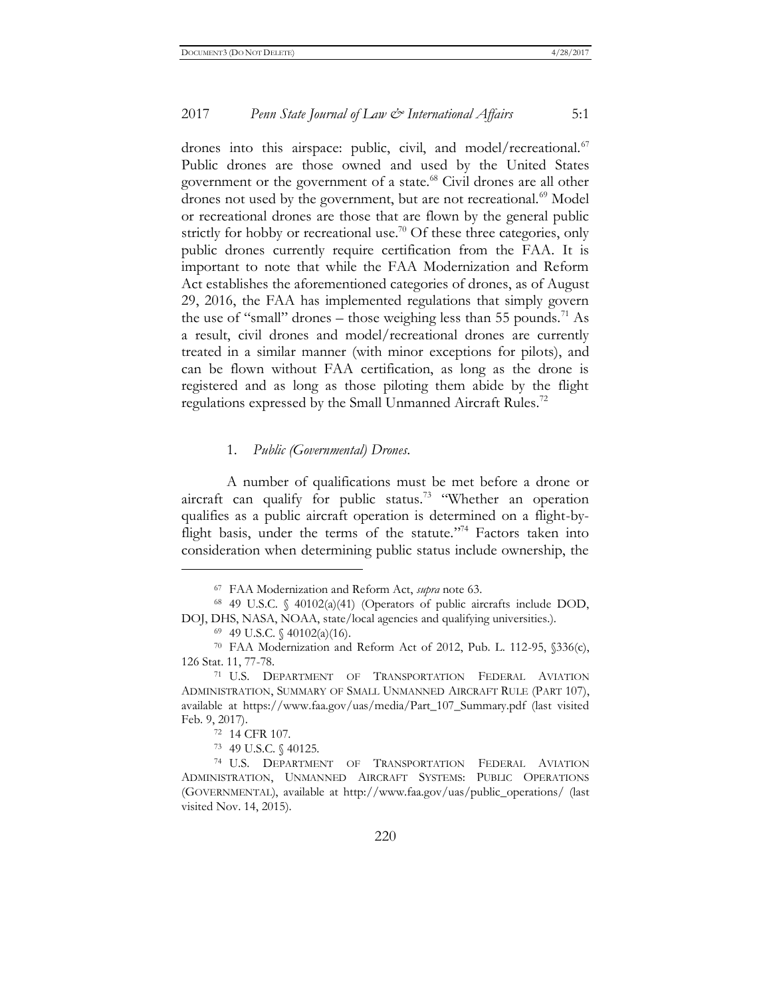drones into this airspace: public, civil, and model/recreational. $^{67}$ Public drones are those owned and used by the United States government or the government of a state.<sup>68</sup> Civil drones are all other drones not used by the government, but are not recreational.<sup>69</sup> Model or recreational drones are those that are flown by the general public strictly for hobby or recreational use.<sup>70</sup> Of these three categories, only public drones currently require certification from the FAA. It is important to note that while the FAA Modernization and Reform Act establishes the aforementioned categories of drones, as of August 29, 2016, the FAA has implemented regulations that simply govern the use of "small" drones – those weighing less than 55 pounds.<sup>71</sup> As a result, civil drones and model/recreational drones are currently treated in a similar manner (with minor exceptions for pilots), and can be flown without FAA certification, as long as the drone is registered and as long as those piloting them abide by the flight regulations expressed by the Small Unmanned Aircraft Rules.<sup>72</sup>

#### 1. *Public (Governmental) Drones*.

A number of qualifications must be met before a drone or aircraft can qualify for public status.<sup>73</sup> "Whether an operation qualifies as a public aircraft operation is determined on a flight-byflight basis, under the terms of the statute."<sup>74</sup> Factors taken into consideration when determining public status include ownership, the

<sup>67</sup> FAA Modernization and Reform Act, *supra* note 63.

<sup>68</sup> 49 U.S.C. § 40102(a)(41) (Operators of public aircrafts include DOD, DOJ, DHS, NASA, NOAA, state/local agencies and qualifying universities.).

 $69$  49 U.S.C.  $\{(40102(a)(16))$ .

<sup>70</sup> FAA Modernization and Reform Act of 2012, Pub. L. 112-95, §336(c), 126 Stat. 11, 77-78.

<sup>71</sup> U.S. DEPARTMENT OF TRANSPORTATION FEDERAL AVIATION ADMINISTRATION, SUMMARY OF SMALL UNMANNED AIRCRAFT RULE (PART 107), available at https://www.faa.gov/uas/media/Part\_107\_Summary.pdf (last visited Feb. 9, 2017).

<sup>72</sup> 14 CFR 107.

<sup>73</sup> 49 U.S.C. § 40125.

<sup>74</sup> U.S. DEPARTMENT OF TRANSPORTATION FEDERAL AVIATION ADMINISTRATION, UNMANNED AIRCRAFT SYSTEMS: PUBLIC OPERATIONS (GOVERNMENTAL), available at http://www.faa.gov/uas/public\_operations/ (last visited Nov. 14, 2015).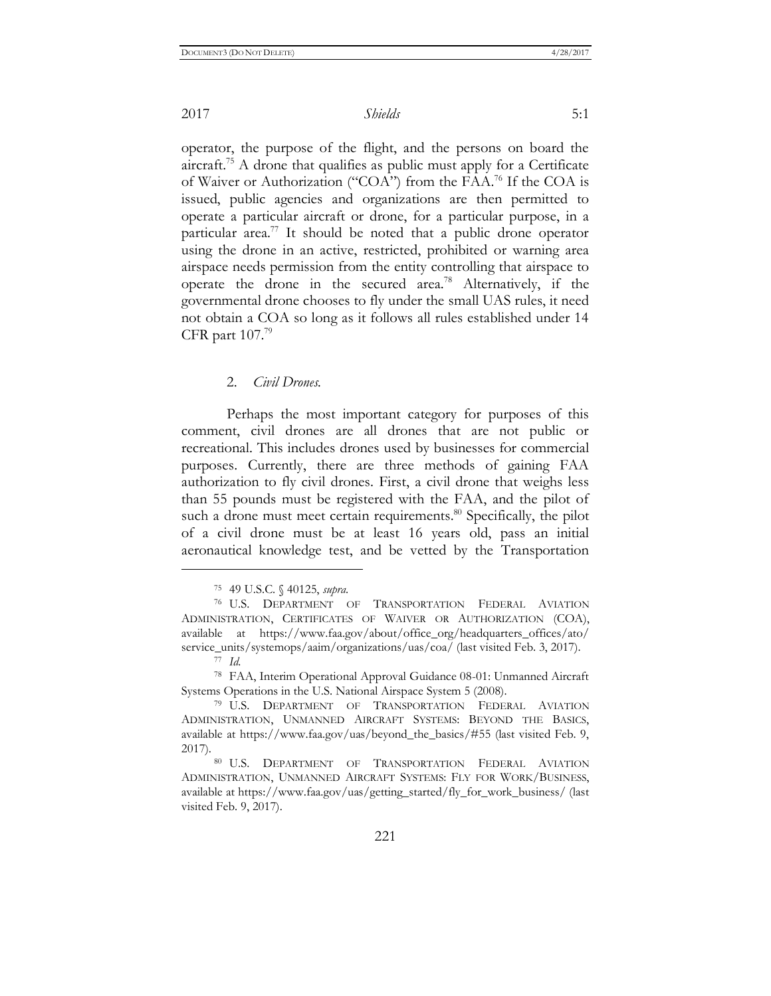operator, the purpose of the flight, and the persons on board the aircraft.<sup>75</sup> A drone that qualifies as public must apply for a Certificate of Waiver or Authorization ("COA") from the FAA.<sup>76</sup> If the COA is issued, public agencies and organizations are then permitted to operate a particular aircraft or drone, for a particular purpose, in a particular area.<sup>77</sup> It should be noted that a public drone operator using the drone in an active, restricted, prohibited or warning area airspace needs permission from the entity controlling that airspace to operate the drone in the secured area.<sup>78</sup> Alternatively, if the governmental drone chooses to fly under the small UAS rules, it need not obtain a COA so long as it follows all rules established under 14 CFR part  $107$ .<sup>79</sup>

#### 2. *Civil Drones.*

Perhaps the most important category for purposes of this comment, civil drones are all drones that are not public or recreational. This includes drones used by businesses for commercial purposes. Currently, there are three methods of gaining FAA authorization to fly civil drones. First, a civil drone that weighs less than 55 pounds must be registered with the FAA, and the pilot of such a drone must meet certain requirements.<sup>80</sup> Specifically, the pilot of a civil drone must be at least 16 years old, pass an initial aeronautical knowledge test, and be vetted by the Transportation

<sup>75</sup> 49 U.S.C. § 40125, *supra*.

<sup>76</sup> U.S. DEPARTMENT OF TRANSPORTATION FEDERAL AVIATION ADMINISTRATION, CERTIFICATES OF WAIVER OR AUTHORIZATION (COA), available at https://www.faa.gov/about/office\_org/headquarters\_offices/ato/ service\_units/systemops/aaim/organizations/uas/coa/ (last visited Feb. 3, 2017). <sup>77</sup> *Id.*

<sup>78</sup> FAA, Interim Operational Approval Guidance 08-01: Unmanned Aircraft Systems Operations in the U.S. National Airspace System 5 (2008).

<sup>79</sup> U.S. DEPARTMENT OF TRANSPORTATION FEDERAL AVIATION ADMINISTRATION, UNMANNED AIRCRAFT SYSTEMS: BEYOND THE BASICS, available at https://www.faa.gov/uas/beyond\_the\_basics/#55 (last visited Feb. 9, 2017).

<sup>80</sup> U.S. DEPARTMENT OF TRANSPORTATION FEDERAL AVIATION ADMINISTRATION, UNMANNED AIRCRAFT SYSTEMS: FLY FOR WORK/BUSINESS, available at https://www.faa.gov/uas/getting\_started/fly\_for\_work\_business/ (last visited Feb. 9, 2017).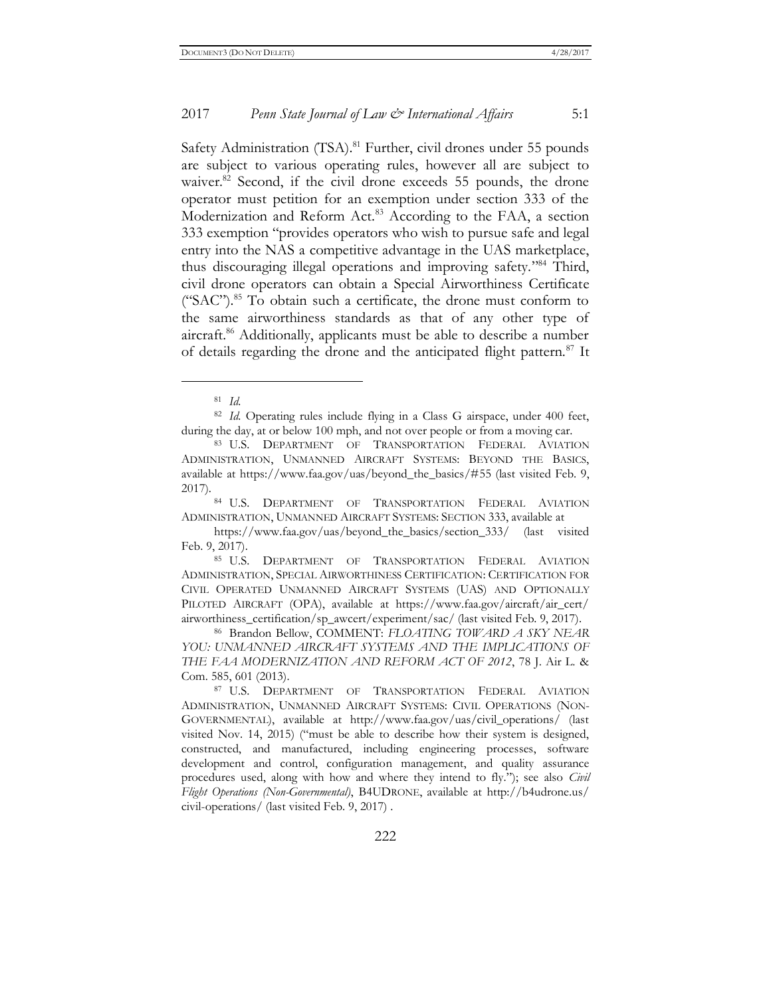Safety Administration (TSA).<sup>81</sup> Further, civil drones under 55 pounds are subject to various operating rules, however all are subject to waiver.<sup>82</sup> Second, if the civil drone exceeds 55 pounds, the drone operator must petition for an exemption under section 333 of the Modernization and Reform Act.<sup>83</sup> According to the FAA, a section 333 exemption "provides operators who wish to pursue safe and legal entry into the NAS a competitive advantage in the UAS marketplace, thus discouraging illegal operations and improving safety."<sup>84</sup> Third, civil drone operators can obtain a Special Airworthiness Certificate  $("SAC")$ .<sup>85</sup> To obtain such a certificate, the drone must conform to the same airworthiness standards as that of any other type of aircraft.<sup>86</sup> Additionally, applicants must be able to describe a number of details regarding the drone and the anticipated flight pattern.<sup>87</sup> It

 $\overline{a}$ 

<sup>82</sup> *Id.* Operating rules include flying in a Class G airspace, under 400 feet, during the day, at or below 100 mph, and not over people or from a moving car.

<sup>81</sup> *Id.*

<sup>83</sup> U.S. DEPARTMENT OF TRANSPORTATION FEDERAL AVIATION ADMINISTRATION, UNMANNED AIRCRAFT SYSTEMS: BEYOND THE BASICS, available at https://www.faa.gov/uas/beyond\_the\_basics/#55 (last visited Feb. 9, 2017).

<sup>84</sup> U.S. DEPARTMENT OF TRANSPORTATION FEDERAL AVIATION ADMINISTRATION, UNMANNED AIRCRAFT SYSTEMS: SECTION 333, available at

https://www.faa.gov/uas/beyond\_the\_basics/section\_333/ (last visited Feb. 9, 2017).

<sup>85</sup> U.S. DEPARTMENT OF TRANSPORTATION FEDERAL AVIATION ADMINISTRATION, SPECIAL AIRWORTHINESS CERTIFICATION: CERTIFICATION FOR CIVIL OPERATED UNMANNED AIRCRAFT SYSTEMS (UAS) AND OPTIONALLY PILOTED AIRCRAFT (OPA), available at https://www.faa.gov/aircraft/air\_cert/ airworthiness\_certification/sp\_awcert/experiment/sac/ (last visited Feb. 9, 2017).

<sup>86</sup> Brandon Bellow, COMMENT: *FLOATING TOWARD A SKY NEAR YOU: UNMANNED AIRCRAFT SYSTEMS AND THE IMPLICATIONS OF THE FAA MODERNIZATION AND REFORM ACT OF 2012*, 78 J. Air L. & Com. 585, 601 (2013).

<sup>87</sup> U.S. DEPARTMENT OF TRANSPORTATION FEDERAL AVIATION ADMINISTRATION, UNMANNED AIRCRAFT SYSTEMS: CIVIL OPERATIONS (NON-GOVERNMENTAL), available at http://www.faa.gov/uas/civil\_operations/ (last visited Nov. 14, 2015) ("must be able to describe how their system is designed, constructed, and manufactured, including engineering processes, software development and control, configuration management, and quality assurance procedures used, along with how and where they intend to fly."); see also *Civil Flight Operations (Non-Governmental)*, B4UDRONE, available at http://b4udrone.us/ civil-operations/ (last visited Feb. 9, 2017) .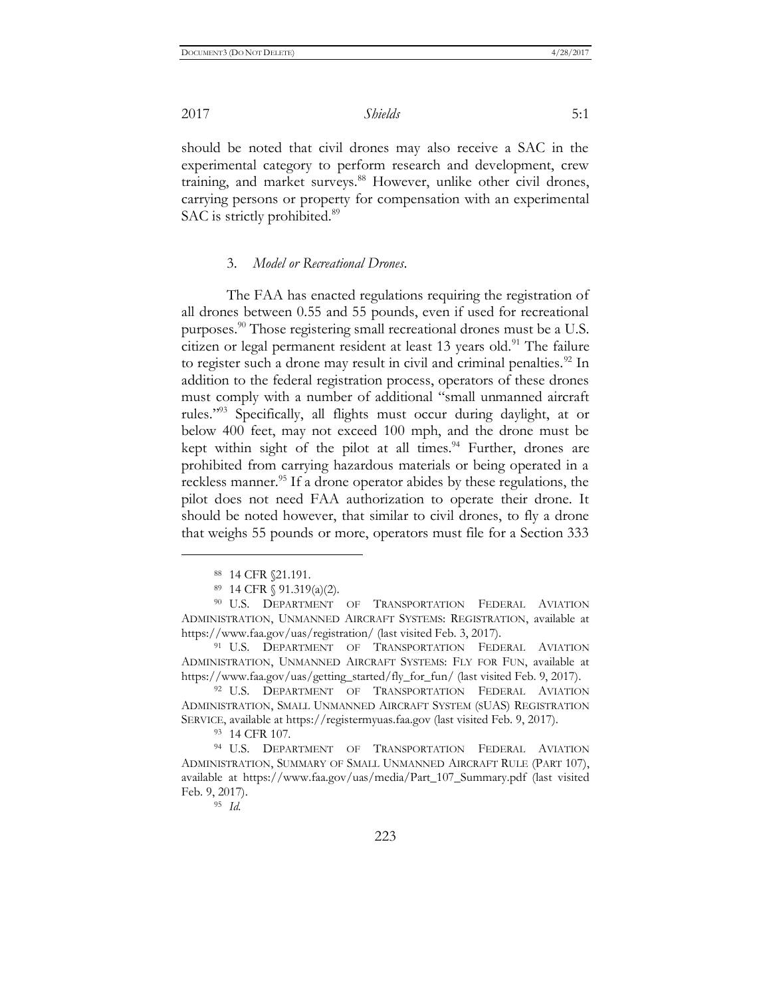should be noted that civil drones may also receive a SAC in the experimental category to perform research and development, crew training, and market surveys.<sup>88</sup> However, unlike other civil drones, carrying persons or property for compensation with an experimental SAC is strictly prohibited.<sup>89</sup>

#### 3. *Model or Recreational Drones*.

The FAA has enacted regulations requiring the registration of all drones between 0.55 and 55 pounds, even if used for recreational purposes.<sup>90</sup> Those registering small recreational drones must be a U.S. citizen or legal permanent resident at least 13 years old.<sup>91</sup> The failure to register such a drone may result in civil and criminal penalties.<sup>92</sup> In addition to the federal registration process, operators of these drones must comply with a number of additional "small unmanned aircraft rules." <sup>93</sup> Specifically, all flights must occur during daylight, at or below 400 feet, may not exceed 100 mph, and the drone must be kept within sight of the pilot at all times.<sup>94</sup> Further, drones are prohibited from carrying hazardous materials or being operated in a reckless manner.<sup>95</sup> If a drone operator abides by these regulations, the pilot does not need FAA authorization to operate their drone. It should be noted however, that similar to civil drones, to fly a drone that weighs 55 pounds or more, operators must file for a Section 333

 $\overline{a}$ 

<sup>93</sup> 14 CFR 107.

<sup>94</sup> U.S. DEPARTMENT OF TRANSPORTATION FEDERAL AVIATION ADMINISTRATION, SUMMARY OF SMALL UNMANNED AIRCRAFT RULE (PART 107), available at https://www.faa.gov/uas/media/Part\_107\_Summary.pdf (last visited Feb. 9, 2017).

<sup>95</sup> *Id.*

<sup>88</sup> 14 CFR §21.191.

<sup>89</sup> 14 CFR § 91.319(a)(2).

<sup>&</sup>lt;sup>90</sup> U.S. DEPARTMENT OF TRANSPORTATION FEDERAL AVIATION ADMINISTRATION, UNMANNED AIRCRAFT SYSTEMS: REGISTRATION, available at https://www.faa.gov/uas/registration/ (last visited Feb. 3, 2017).

<sup>&</sup>lt;sup>91</sup> U.S. DEPARTMENT OF TRANSPORTATION FEDERAL AVIATION ADMINISTRATION, UNMANNED AIRCRAFT SYSTEMS: FLY FOR FUN, available at https://www.faa.gov/uas/getting\_started/fly\_for\_fun/ (last visited Feb. 9, 2017).

<sup>&</sup>lt;sup>92</sup> U.S. DEPARTMENT OF TRANSPORTATION FEDERAL AVIATION ADMINISTRATION, SMALL UNMANNED AIRCRAFT SYSTEM (SUAS) REGISTRATION SERVICE, available at https://registermyuas.faa.gov (last visited Feb. 9, 2017).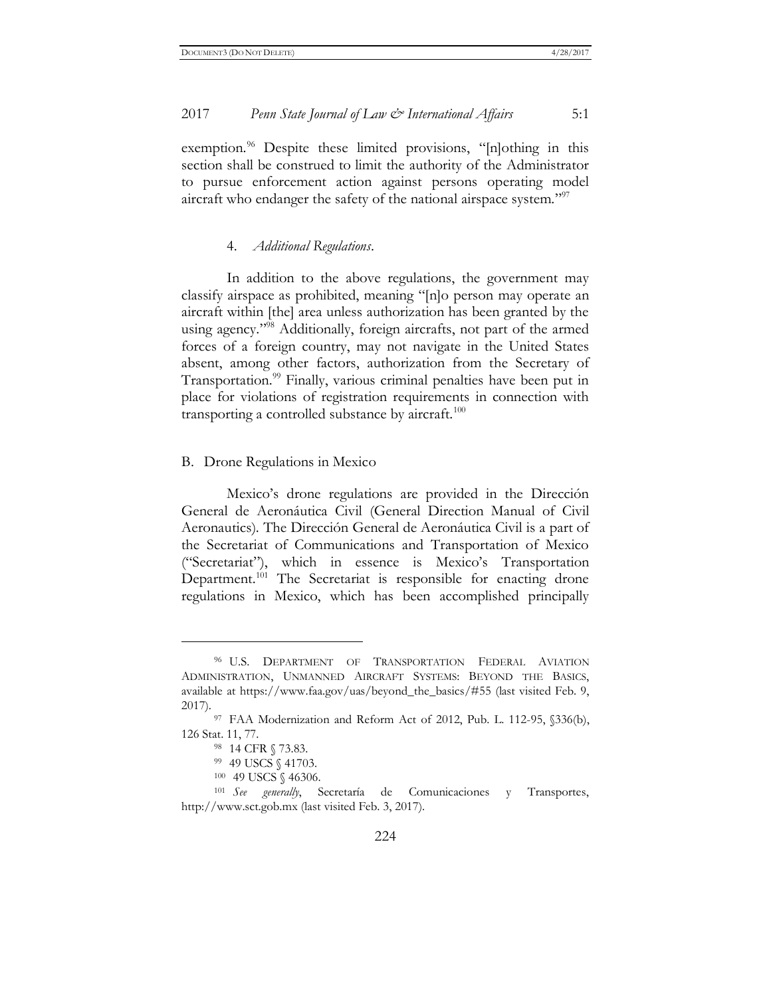exemption.<sup>96</sup> Despite these limited provisions, "[n]othing in this section shall be construed to limit the authority of the Administrator to pursue enforcement action against persons operating model aircraft who endanger the safety of the national airspace system."<sup>97</sup>

#### 4. *Additional Regulations*.

In addition to the above regulations, the government may classify airspace as prohibited, meaning "[n]o person may operate an aircraft within [the] area unless authorization has been granted by the using agency." <sup>98</sup> Additionally, foreign aircrafts, not part of the armed forces of a foreign country, may not navigate in the United States absent, among other factors, authorization from the Secretary of Transportation.<sup>99</sup> Finally, various criminal penalties have been put in place for violations of registration requirements in connection with transporting a controlled substance by aircraft.<sup>100</sup>

#### B. Drone Regulations in Mexico

Mexico's drone regulations are provided in the Dirección General de Aeronáutica Civil (General Direction Manual of Civil Aeronautics). The Dirección General de Aeronáutica Civil is a part of the Secretariat of Communications and Transportation of Mexico ("Secretariat"), which in essence is Mexico's Transportation Department.<sup>101</sup> The Secretariat is responsible for enacting drone regulations in Mexico, which has been accomplished principally

<sup>96</sup> U.S. DEPARTMENT OF TRANSPORTATION FEDERAL AVIATION ADMINISTRATION, UNMANNED AIRCRAFT SYSTEMS: BEYOND THE BASICS, available at https://www.faa.gov/uas/beyond\_the\_basics/#55 (last visited Feb. 9, 2017).

<sup>97</sup> FAA Modernization and Reform Act of 2012, Pub. L. 112-95, §336(b), 126 Stat. 11, 77.

<sup>98</sup> 14 CFR § 73.83.

<sup>99</sup> 49 USCS § 41703.

<sup>100</sup> 49 USCS § 46306.

<sup>101</sup> *See generally*, Secretaría de Comunicaciones y Transportes, http://www.sct.gob.mx (last visited Feb. 3, 2017).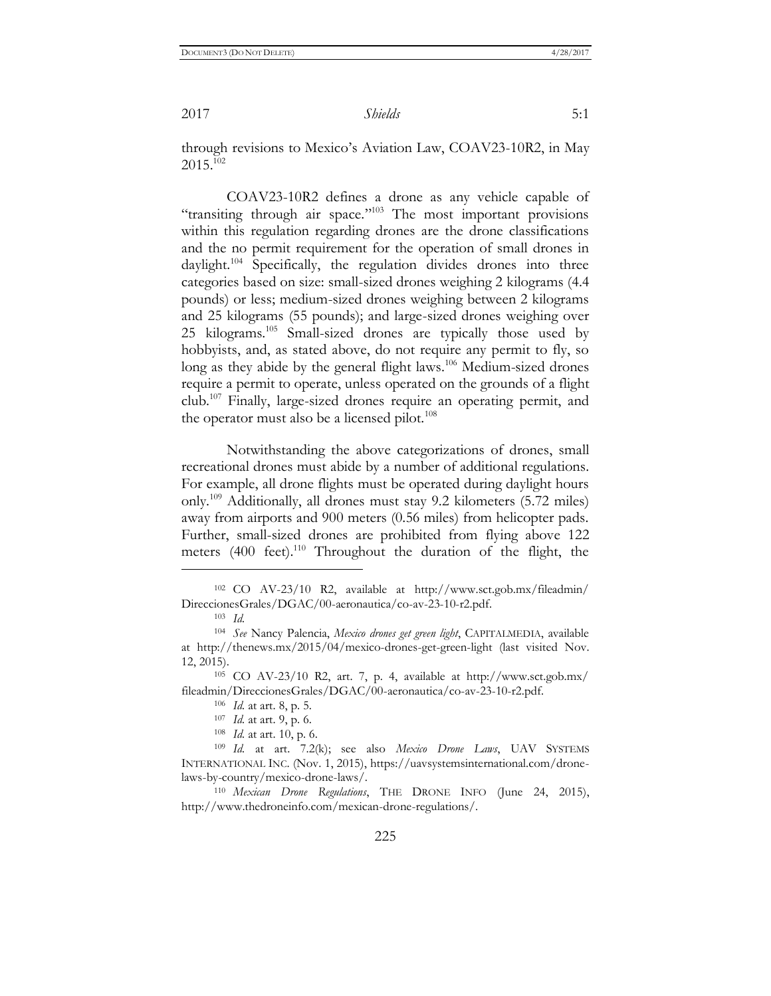through revisions to Mexico's Aviation Law, COAV23-10R2, in May 2015.<sup>102</sup>

COAV23-10R2 defines a drone as any vehicle capable of "transiting through air space."<sup>103</sup> The most important provisions within this regulation regarding drones are the drone classifications and the no permit requirement for the operation of small drones in daylight.<sup>104</sup> Specifically, the regulation divides drones into three categories based on size: small-sized drones weighing 2 kilograms (4.4 pounds) or less; medium-sized drones weighing between 2 kilograms and 25 kilograms (55 pounds); and large-sized drones weighing over 25 kilograms.<sup>105</sup> Small-sized drones are typically those used by hobbyists, and, as stated above, do not require any permit to fly, so long as they abide by the general flight laws.<sup>106</sup> Medium-sized drones require a permit to operate, unless operated on the grounds of a flight club.<sup>107</sup> Finally, large-sized drones require an operating permit, and the operator must also be a licensed pilot. $108$ 

Notwithstanding the above categorizations of drones, small recreational drones must abide by a number of additional regulations. For example, all drone flights must be operated during daylight hours only.<sup>109</sup> Additionally, all drones must stay 9.2 kilometers (5.72 miles) away from airports and 900 meters (0.56 miles) from helicopter pads. Further, small-sized drones are prohibited from flying above 122 meters (400 feet).<sup>110</sup> Throughout the duration of the flight, the

<sup>102</sup> CO AV-23/10 R2, available at http://www.sct.gob.mx/fileadmin/ DireccionesGrales/DGAC/00-aeronautica/co-av-23-10-r2.pdf.

<sup>103</sup> *Id.*

<sup>104</sup> *See* Nancy Palencia, *Mexico drones get green light*, CAPITALMEDIA, available at http://thenews.mx/2015/04/mexico-drones-get-green-light (last visited Nov. 12, 2015).

<sup>105</sup> CO AV-23/10 R2, art. 7, p. 4, available at http://www.sct.gob.mx/ fileadmin/DireccionesGrales/DGAC/00-aeronautica/co-av-23-10-r2.pdf.

<sup>106</sup> *Id.* at art. 8, p. 5.

<sup>107</sup> *Id.* at art. 9, p. 6.

<sup>108</sup> *Id.* at art. 10, p. 6.

<sup>109</sup> *Id.* at art. 7.2(k); see also *Mexico Drone Laws*, UAV SYSTEMS INTERNATIONAL INC. (Nov. 1, 2015), https://uavsystemsinternational.com/dronelaws-by-country/mexico-drone-laws/.

<sup>110</sup> *Mexican Drone Regulations*, THE DRONE INFO (June 24, 2015), http://www.thedroneinfo.com/mexican-drone-regulations/.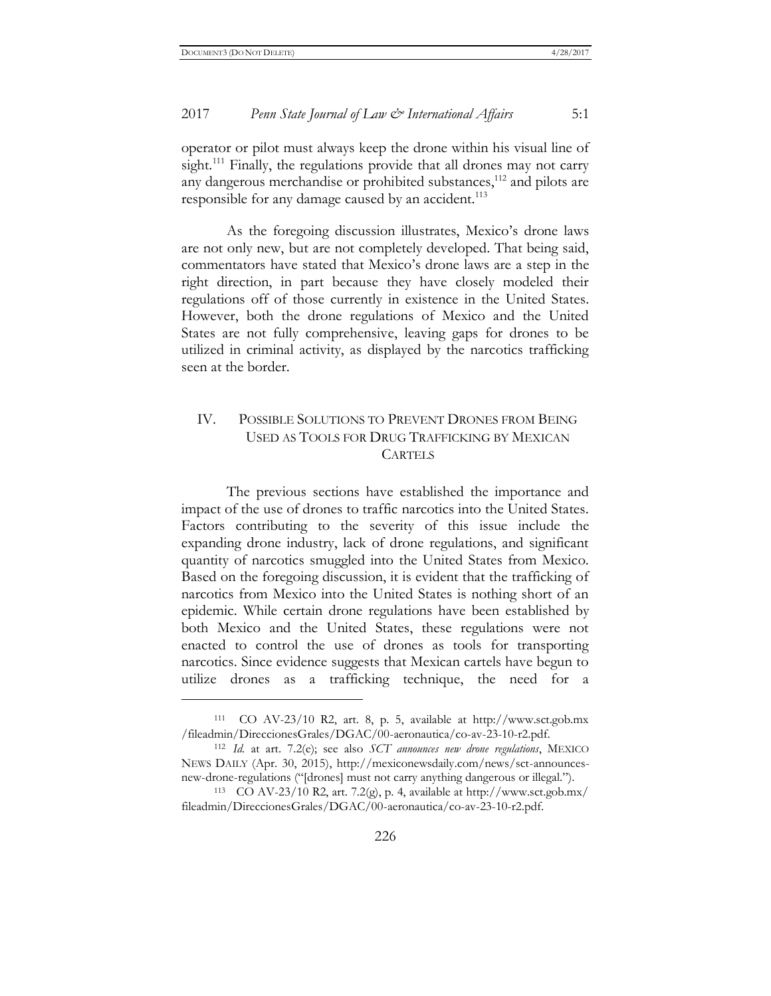$\overline{a}$ 

#### 2017 *Penn State Journal of Law & International Affairs* 5:1

operator or pilot must always keep the drone within his visual line of sight.<sup>111</sup> Finally, the regulations provide that all drones may not carry any dangerous merchandise or prohibited substances,<sup>112</sup> and pilots are responsible for any damage caused by an accident.<sup>113</sup>

As the foregoing discussion illustrates, Mexico's drone laws are not only new, but are not completely developed. That being said, commentators have stated that Mexico's drone laws are a step in the right direction, in part because they have closely modeled their regulations off of those currently in existence in the United States. However, both the drone regulations of Mexico and the United States are not fully comprehensive, leaving gaps for drones to be utilized in criminal activity, as displayed by the narcotics trafficking seen at the border.

#### IV. POSSIBLE SOLUTIONS TO PREVENT DRONES FROM BEING USED AS TOOLS FOR DRUG TRAFFICKING BY MEXICAN **CARTELS**

The previous sections have established the importance and impact of the use of drones to traffic narcotics into the United States. Factors contributing to the severity of this issue include the expanding drone industry, lack of drone regulations, and significant quantity of narcotics smuggled into the United States from Mexico. Based on the foregoing discussion, it is evident that the trafficking of narcotics from Mexico into the United States is nothing short of an epidemic. While certain drone regulations have been established by both Mexico and the United States, these regulations were not enacted to control the use of drones as tools for transporting narcotics. Since evidence suggests that Mexican cartels have begun to utilize drones as a trafficking technique, the need for a

<sup>111</sup> CO AV-23/10 R2, art. 8, p. 5, available at http://www.sct.gob.mx /fileadmin/DireccionesGrales/DGAC/00-aeronautica/co-av-23-10-r2.pdf.

<sup>112</sup> *Id.* at art. 7.2(e); see also *SCT announces new drone regulations*, MEXICO NEWS DAILY (Apr. 30, 2015), http://mexiconewsdaily.com/news/sct-announcesnew-drone-regulations ("[drones] must not carry anything dangerous or illegal.").

<sup>&</sup>lt;sup>113</sup> CO AV-23/10 R2, art. 7.2(g), p. 4, available at http://www.sct.gob.mx/ fileadmin/DireccionesGrales/DGAC/00-aeronautica/co-av-23-10-r2.pdf.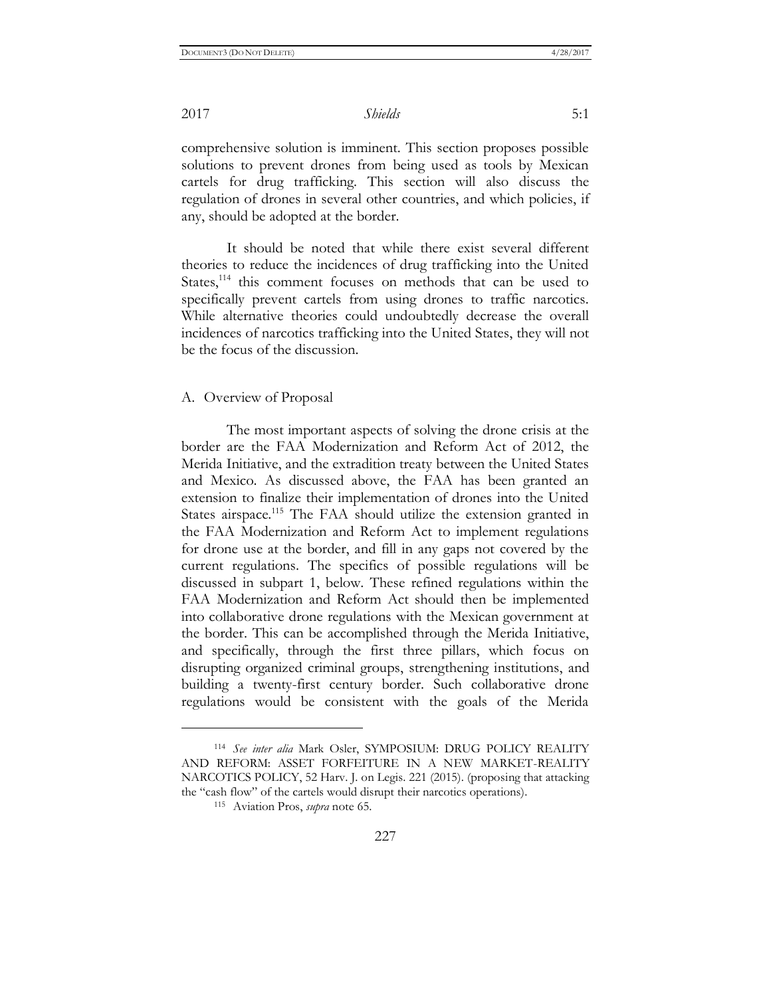comprehensive solution is imminent. This section proposes possible solutions to prevent drones from being used as tools by Mexican cartels for drug trafficking. This section will also discuss the regulation of drones in several other countries, and which policies, if any, should be adopted at the border.

It should be noted that while there exist several different theories to reduce the incidences of drug trafficking into the United States, $114$  this comment focuses on methods that can be used to specifically prevent cartels from using drones to traffic narcotics. While alternative theories could undoubtedly decrease the overall incidences of narcotics trafficking into the United States, they will not be the focus of the discussion.

#### A. Overview of Proposal

The most important aspects of solving the drone crisis at the border are the FAA Modernization and Reform Act of 2012, the Merida Initiative, and the extradition treaty between the United States and Mexico. As discussed above, the FAA has been granted an extension to finalize their implementation of drones into the United States airspace.<sup>115</sup> The FAA should utilize the extension granted in the FAA Modernization and Reform Act to implement regulations for drone use at the border, and fill in any gaps not covered by the current regulations. The specifics of possible regulations will be discussed in subpart 1, below. These refined regulations within the FAA Modernization and Reform Act should then be implemented into collaborative drone regulations with the Mexican government at the border. This can be accomplished through the Merida Initiative, and specifically, through the first three pillars, which focus on disrupting organized criminal groups, strengthening institutions, and building a twenty-first century border. Such collaborative drone regulations would be consistent with the goals of the Merida

 $\overline{a}$ 

227

<sup>114</sup> *See inter alia* Mark Osler, SYMPOSIUM: DRUG POLICY REALITY AND REFORM: ASSET FORFEITURE IN A NEW MARKET-REALITY NARCOTICS POLICY, 52 Harv. J. on Legis. 221 (2015). (proposing that attacking the "cash flow" of the cartels would disrupt their narcotics operations).

<sup>115</sup> Aviation Pros, *supra* note 65.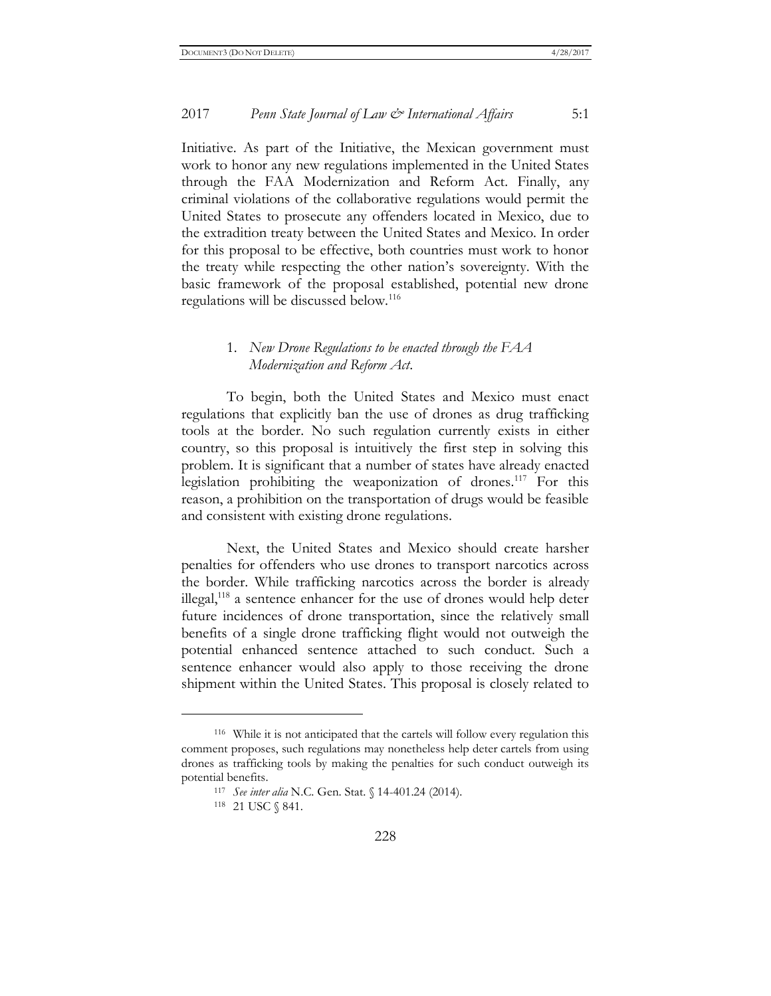Initiative. As part of the Initiative, the Mexican government must work to honor any new regulations implemented in the United States through the FAA Modernization and Reform Act. Finally, any criminal violations of the collaborative regulations would permit the United States to prosecute any offenders located in Mexico, due to the extradition treaty between the United States and Mexico. In order for this proposal to be effective, both countries must work to honor the treaty while respecting the other nation's sovereignty. With the basic framework of the proposal established, potential new drone regulations will be discussed below.<sup>116</sup>

#### 1. *New Drone Regulations to be enacted through the FAA Modernization and Reform Act*.

To begin, both the United States and Mexico must enact regulations that explicitly ban the use of drones as drug trafficking tools at the border. No such regulation currently exists in either country, so this proposal is intuitively the first step in solving this problem. It is significant that a number of states have already enacted legislation prohibiting the weaponization of drones.<sup>117</sup> For this reason, a prohibition on the transportation of drugs would be feasible and consistent with existing drone regulations.

Next, the United States and Mexico should create harsher penalties for offenders who use drones to transport narcotics across the border. While trafficking narcotics across the border is already illegal,<sup>118</sup> a sentence enhancer for the use of drones would help deter future incidences of drone transportation, since the relatively small benefits of a single drone trafficking flight would not outweigh the potential enhanced sentence attached to such conduct. Such a sentence enhancer would also apply to those receiving the drone shipment within the United States. This proposal is closely related to

<sup>116</sup> While it is not anticipated that the cartels will follow every regulation this comment proposes, such regulations may nonetheless help deter cartels from using drones as trafficking tools by making the penalties for such conduct outweigh its potential benefits.

<sup>117</sup> *See inter alia* N.C. Gen. Stat. § 14-401.24 (2014).

<sup>118 21</sup> USC § 841.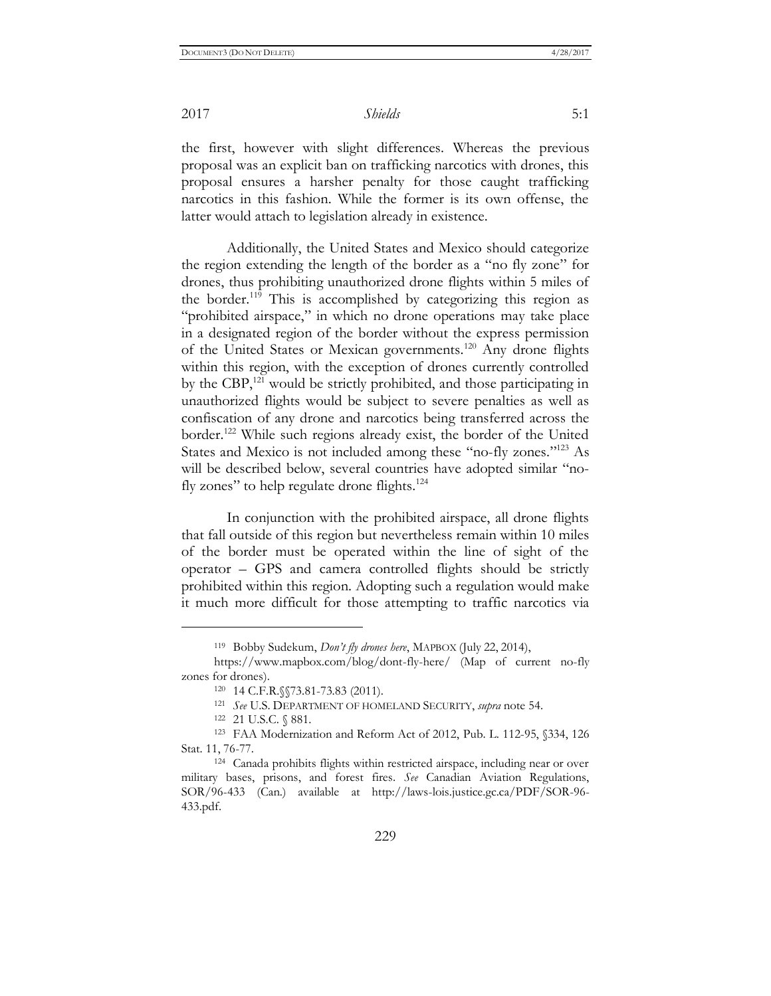the first, however with slight differences. Whereas the previous proposal was an explicit ban on trafficking narcotics with drones, this proposal ensures a harsher penalty for those caught trafficking narcotics in this fashion. While the former is its own offense, the latter would attach to legislation already in existence.

Additionally, the United States and Mexico should categorize the region extending the length of the border as a "no fly zone" for drones, thus prohibiting unauthorized drone flights within 5 miles of the border.<sup>119</sup> This is accomplished by categorizing this region as "prohibited airspace," in which no drone operations may take place in a designated region of the border without the express permission of the United States or Mexican governments.<sup>120</sup> Any drone flights within this region, with the exception of drones currently controlled by the CBP,<sup>121</sup> would be strictly prohibited, and those participating in unauthorized flights would be subject to severe penalties as well as confiscation of any drone and narcotics being transferred across the border.<sup>122</sup> While such regions already exist, the border of the United States and Mexico is not included among these "no-fly zones."<sup>123</sup> As will be described below, several countries have adopted similar "nofly zones" to help regulate drone flights. $124$ 

In conjunction with the prohibited airspace, all drone flights that fall outside of this region but nevertheless remain within 10 miles of the border must be operated within the line of sight of the operator – GPS and camera controlled flights should be strictly prohibited within this region. Adopting such a regulation would make it much more difficult for those attempting to traffic narcotics via

<sup>119</sup> Bobby Sudekum, *Don't fly drones here*, MAPBOX (July 22, 2014),

https://www.mapbox.com/blog/dont-fly-here/ (Map of current no-fly zones for drones).

<sup>120</sup> 14 C.F.R.§§73.81-73.83 (2011).

<sup>121</sup> *See* U.S. DEPARTMENT OF HOMELAND SECURITY, *supra* note 54.

<sup>122 21</sup> U.S.C. § 881.

<sup>123</sup> FAA Modernization and Reform Act of 2012, Pub. L. 112-95, §334, 126 Stat. 11, 76-77.

<sup>124</sup> Canada prohibits flights within restricted airspace, including near or over military bases, prisons, and forest fires. *See* Canadian Aviation Regulations, SOR/96-433 (Can.) available at http://laws-lois.justice.gc.ca/PDF/SOR-96- 433.pdf.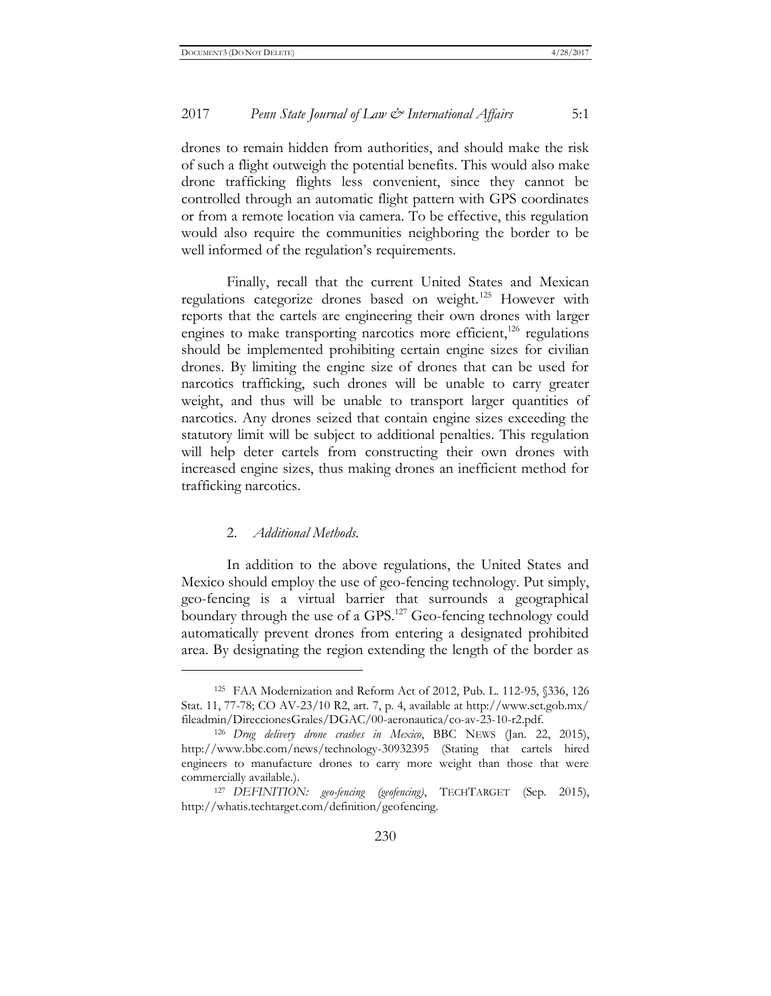drones to remain hidden from authorities, and should make the risk of such a flight outweigh the potential benefits. This would also make drone trafficking flights less convenient, since they cannot be controlled through an automatic flight pattern with GPS coordinates or from a remote location via camera. To be effective, this regulation would also require the communities neighboring the border to be well informed of the regulation's requirements.

Finally, recall that the current United States and Mexican regulations categorize drones based on weight.<sup>125</sup> However with reports that the cartels are engineering their own drones with larger engines to make transporting narcotics more efficient,<sup>126</sup> regulations should be implemented prohibiting certain engine sizes for civilian drones. By limiting the engine size of drones that can be used for narcotics trafficking, such drones will be unable to carry greater weight, and thus will be unable to transport larger quantities of narcotics. Any drones seized that contain engine sizes exceeding the statutory limit will be subject to additional penalties. This regulation will help deter cartels from constructing their own drones with increased engine sizes, thus making drones an inefficient method for trafficking narcotics.

#### 2. *Additional Methods*.

 $\overline{a}$ 

In addition to the above regulations, the United States and Mexico should employ the use of geo-fencing technology. Put simply, geo-fencing is a virtual barrier that surrounds a geographical boundary through the use of a GPS.<sup>127</sup> Geo-fencing technology could automatically prevent drones from entering a designated prohibited area. By designating the region extending the length of the border as

<sup>125</sup> FAA Modernization and Reform Act of 2012, Pub. L. 112-95, §336, 126 Stat. 11, 77-78; CO AV-23/10 R2, art. 7, p. 4, available at http://www.sct.gob.mx/ fileadmin/DireccionesGrales/DGAC/00-aeronautica/co-av-23-10-r2.pdf.

<sup>126</sup> *Drug delivery drone crashes in Mexico*, BBC NEWS (Jan. 22, 2015), <http://www.bbc.com/news/technology-30932395> (Stating that cartels hired engineers to manufacture drones to carry more weight than those that were commercially available.).

<sup>127</sup> *DEFINITION: geo-fencing (geofencing)*, TECHTARGET (Sep. 2015), http://whatis.techtarget.com/definition/geofencing.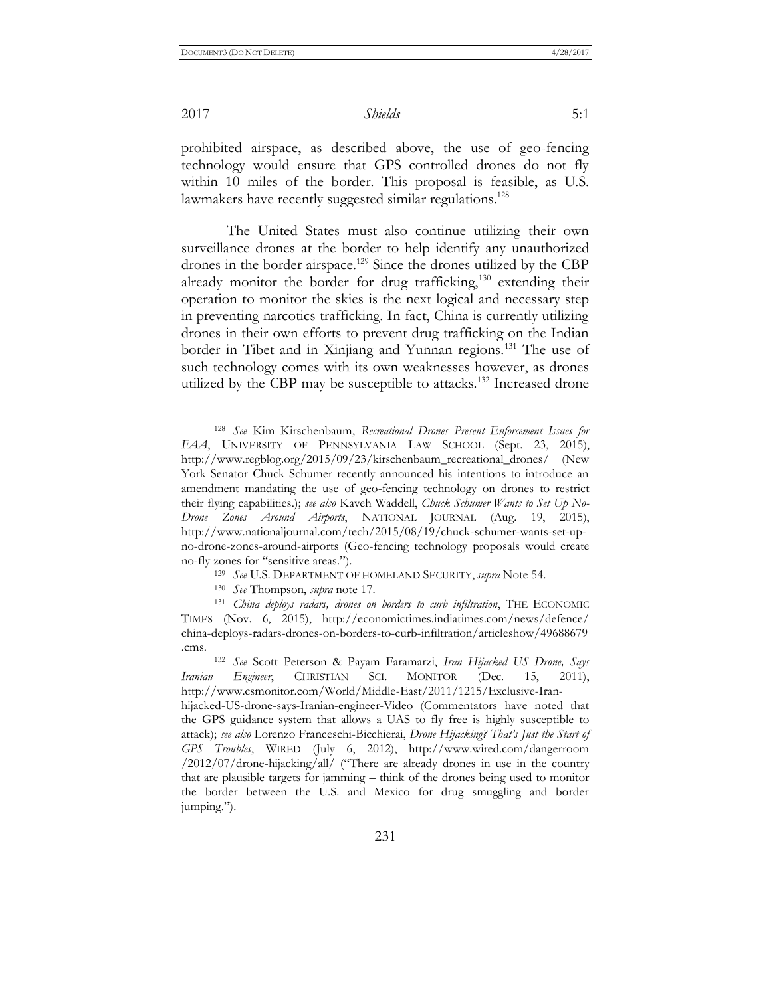$\overline{a}$ 

2017 *Shields* 5:1

prohibited airspace, as described above, the use of geo-fencing technology would ensure that GPS controlled drones do not fly within 10 miles of the border. This proposal is feasible, as U.S. lawmakers have recently suggested similar regulations.<sup>128</sup>

The United States must also continue utilizing their own surveillance drones at the border to help identify any unauthorized drones in the border airspace.<sup>129</sup> Since the drones utilized by the CBP already monitor the border for drug trafficking,<sup>130</sup> extending their operation to monitor the skies is the next logical and necessary step in preventing narcotics trafficking. In fact, China is currently utilizing drones in their own efforts to prevent drug trafficking on the Indian border in Tibet and in Xinjiang and Yunnan regions.<sup>131</sup> The use of such technology comes with its own weaknesses however, as drones utilized by the CBP may be susceptible to attacks.<sup>132</sup> Increased drone

<sup>128</sup> *See* Kim Kirschenbaum, *Recreational Drones Present Enforcement Issues for FAA*, UNIVERSITY OF PENNSYLVANIA LAW SCHOOL (Sept. 23, 2015), http://www.regblog.org/2015/09/23/kirschenbaum\_recreational\_drones/ (New York Senator Chuck Schumer recently announced his intentions to introduce an amendment mandating the use of geo-fencing technology on drones to restrict their flying capabilities.); *see also* Kaveh Waddell, *Chuck Schumer Wants to Set Up No-Drone Zones Around Airports*, NATIONAL JOURNAL (Aug. 19, 2015), http://www.nationaljournal.com/tech/2015/08/19/chuck-schumer-wants-set-upno-drone-zones-around-airports (Geo-fencing technology proposals would create no-fly zones for "sensitive areas.").

<sup>129</sup> *See* U.S. DEPARTMENT OF HOMELAND SECURITY, *supra* Note 54.

<sup>130</sup> *See* Thompson, *supra* note 17.

<sup>131</sup> *China deploys radars, drones on borders to curb infiltration*, THE ECONOMIC TIMES (Nov. 6, 2015), http://economictimes.indiatimes.com/news/defence/ china-deploys-radars-drones-on-borders-to-curb-infiltration/articleshow/49688679 .cms.

<sup>132</sup> *See* Scott Peterson & Payam Faramarzi, *Iran Hijacked US Drone, Says Iranian Engineer*, CHRISTIAN SCI. MONITOR (Dec. 15, 2011), http://www.csmonitor.com/World/Middle-East/2011/1215/Exclusive-Iran-

hijacked-US-drone-says-Iranian-engineer-Video (Commentators have noted that the GPS guidance system that allows a UAS to fly free is highly susceptible to attack); *see also* Lorenzo Franceschi-Bicchierai, *Drone Hijacking? That's Just the Start of GPS Troubles*, WIRED (July 6, 2012), http://www.wired.com/dangerroom /2012/07/drone-hijacking/all/ ("There are already drones in use in the country that are plausible targets for jamming – think of the drones being used to monitor the border between the U.S. and Mexico for drug smuggling and border jumping.").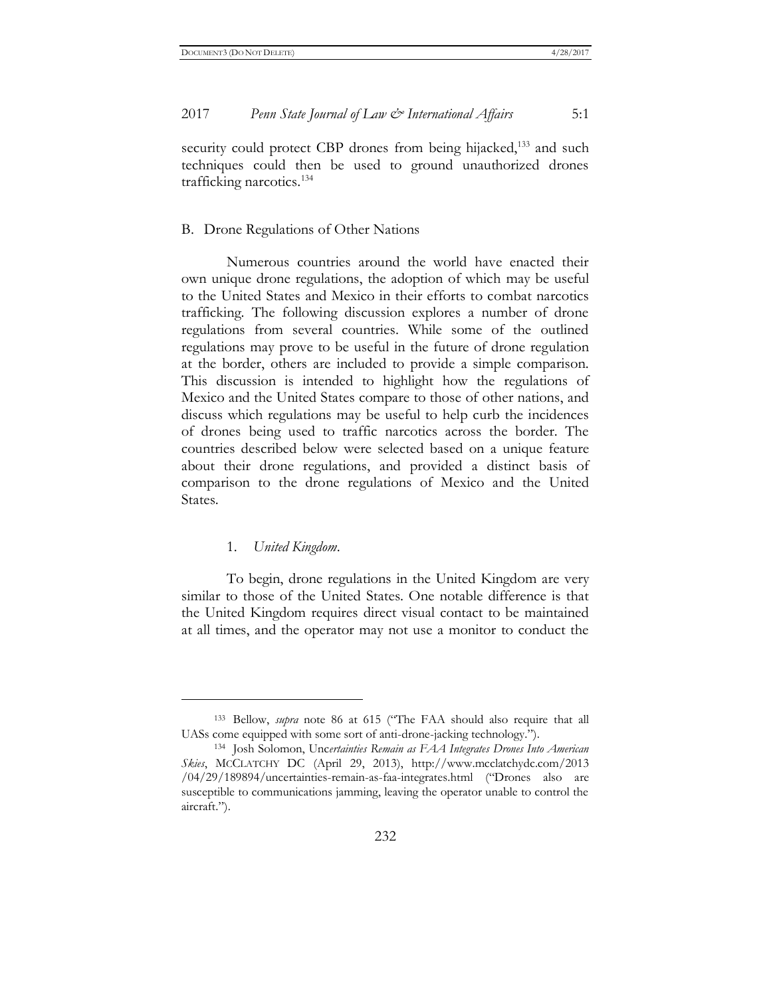security could protect CBP drones from being hijacked,<sup>133</sup> and such techniques could then be used to ground unauthorized drones trafficking narcotics.<sup>134</sup>

#### B. Drone Regulations of Other Nations

Numerous countries around the world have enacted their own unique drone regulations, the adoption of which may be useful to the United States and Mexico in their efforts to combat narcotics trafficking. The following discussion explores a number of drone regulations from several countries. While some of the outlined regulations may prove to be useful in the future of drone regulation at the border, others are included to provide a simple comparison. This discussion is intended to highlight how the regulations of Mexico and the United States compare to those of other nations, and discuss which regulations may be useful to help curb the incidences of drones being used to traffic narcotics across the border. The countries described below were selected based on a unique feature about their drone regulations, and provided a distinct basis of comparison to the drone regulations of Mexico and the United States.

#### 1. *United Kingdom*.

 $\overline{a}$ 

To begin, drone regulations in the United Kingdom are very similar to those of the United States. One notable difference is that the United Kingdom requires direct visual contact to be maintained at all times, and the operator may not use a monitor to conduct the

<sup>133</sup> Bellow, *supra* note 86 at 615 ("The FAA should also require that all UASs come equipped with some sort of anti-drone-jacking technology.").

<sup>134</sup> Josh Solomon, Unc*ertainties Remain as FAA Integrates Drones Into American Skies*, MCCLATCHY DC (April 29, 2013), http://www.mcclatchydc.com/2013 /04/29/189894/uncertainties-remain-as-faa-integrates.html ("Drones also are susceptible to communications jamming, leaving the operator unable to control the aircraft.").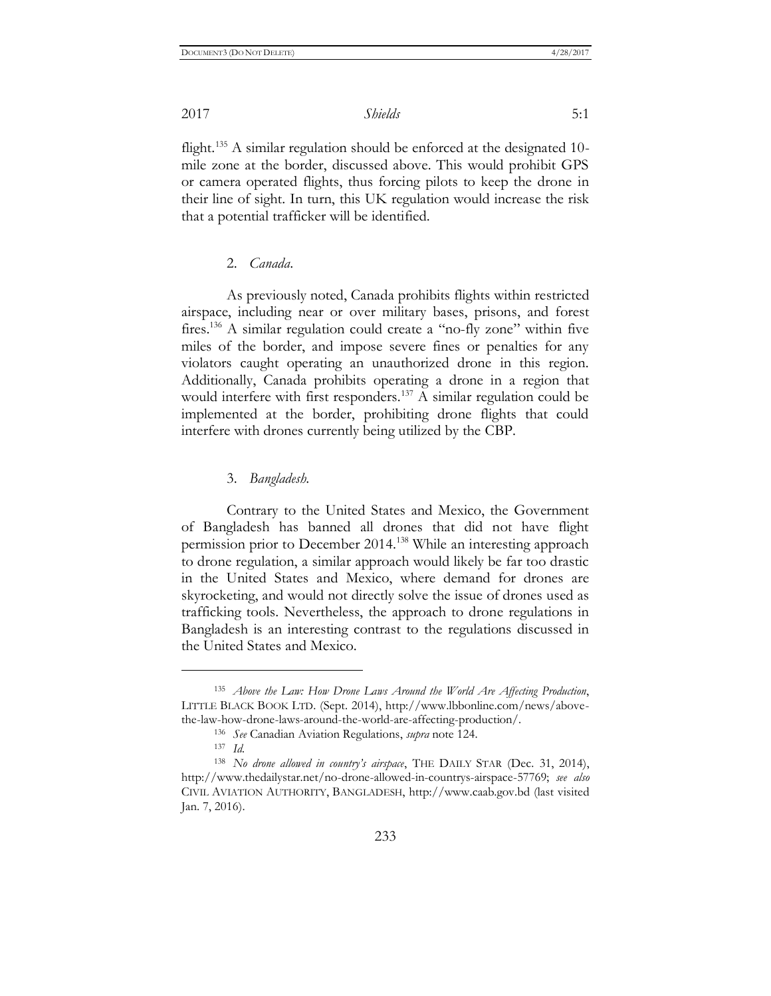flight.<sup>135</sup> A similar regulation should be enforced at the designated 10mile zone at the border, discussed above. This would prohibit GPS or camera operated flights, thus forcing pilots to keep the drone in their line of sight. In turn, this UK regulation would increase the risk that a potential trafficker will be identified.

#### 2. *Canada*.

As previously noted, Canada prohibits flights within restricted airspace, including near or over military bases, prisons, and forest fires.<sup>136</sup> A similar regulation could create a "no-fly zone" within five miles of the border, and impose severe fines or penalties for any violators caught operating an unauthorized drone in this region. Additionally, Canada prohibits operating a drone in a region that would interfere with first responders.<sup>137</sup> A similar regulation could be implemented at the border, prohibiting drone flights that could interfere with drones currently being utilized by the CBP.

#### 3. *Bangladesh*.

Contrary to the United States and Mexico, the Government of Bangladesh has banned all drones that did not have flight permission prior to December 2014.<sup>138</sup> While an interesting approach to drone regulation, a similar approach would likely be far too drastic in the United States and Mexico, where demand for drones are skyrocketing, and would not directly solve the issue of drones used as trafficking tools. Nevertheless, the approach to drone regulations in Bangladesh is an interesting contrast to the regulations discussed in the United States and Mexico.

<sup>135</sup> *Above the Law: How Drone Laws Around the World Are Affecting Production*, LITTLE BLACK BOOK LTD. (Sept. 2014), http://www.lbbonline.com/news/abovethe-law-how-drone-laws-around-the-world-are-affecting-production/.

<sup>136</sup> *See* Canadian Aviation Regulations, *supra* note 124.

<sup>137</sup> *Id.*

<sup>138</sup> *No drone allowed in country's airspace*, THE DAILY STAR (Dec. 31, 2014), http://www.thedailystar.net/no-drone-allowed-in-countrys-airspace-57769; *see also*  CIVIL AVIATION AUTHORITY, BANGLADESH, http://www.caab.gov.bd (last visited Jan. 7, 2016).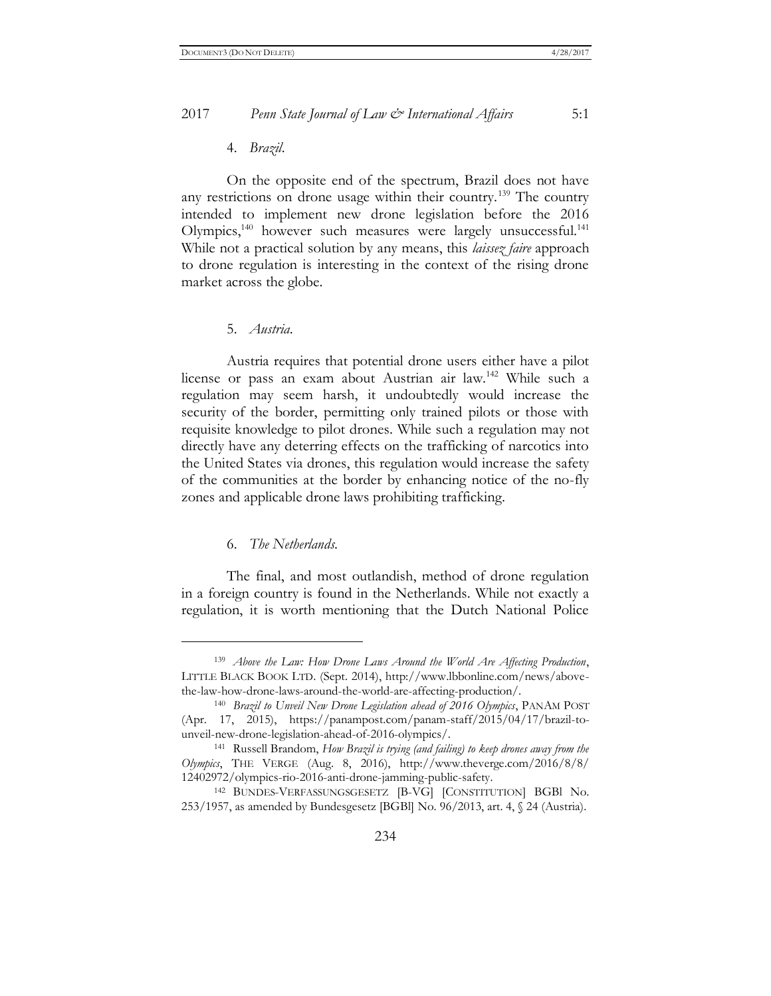#### 4. *Brazil*.

On the opposite end of the spectrum, Brazil does not have any restrictions on drone usage within their country.<sup>139</sup> The country intended to implement new drone legislation before the 2016 Olympics,<sup>140</sup> however such measures were largely unsuccessful.<sup>141</sup> While not a practical solution by any means, this *laissez faire* approach to drone regulation is interesting in the context of the rising drone market across the globe.

#### 5. *Austria*.

Austria requires that potential drone users either have a pilot license or pass an exam about Austrian air law.<sup>142</sup> While such a regulation may seem harsh, it undoubtedly would increase the security of the border, permitting only trained pilots or those with requisite knowledge to pilot drones. While such a regulation may not directly have any deterring effects on the trafficking of narcotics into the United States via drones, this regulation would increase the safety of the communities at the border by enhancing notice of the no-fly zones and applicable drone laws prohibiting trafficking.

#### 6. *The Netherlands*.

 $\overline{a}$ 

The final, and most outlandish, method of drone regulation in a foreign country is found in the Netherlands. While not exactly a regulation, it is worth mentioning that the Dutch National Police

<sup>139</sup> *Above the Law: How Drone Laws Around the World Are Affecting Production*, LITTLE BLACK BOOK LTD. (Sept. 2014), http://www.lbbonline.com/news/abovethe-law-how-drone-laws-around-the-world-are-affecting-production/.

<sup>140</sup> *Brazil to Unveil New Drone Legislation ahead of 2016 Olympics*, PANAM POST (Apr. 17, 2015), https://panampost.com/panam-staff/2015/04/17/brazil-tounveil-new-drone-legislation-ahead-of-2016-olympics/.

<sup>141</sup> Russell Brandom, *How Brazil is trying (and failing) to keep drones away from the Olympics*, THE VERGE (Aug. 8, 2016), http://www.theverge.com/2016/8/8/ 12402972/olympics-rio-2016-anti-drone-jamming-public-safety.

<sup>142</sup> BUNDES-VERFASSUNGSGESETZ [B-VG] [CONSTITUTION] BGBl No. 253/1957, as amended by Bundesgesetz [BGBl] No. 96/2013, art. 4, § 24 (Austria).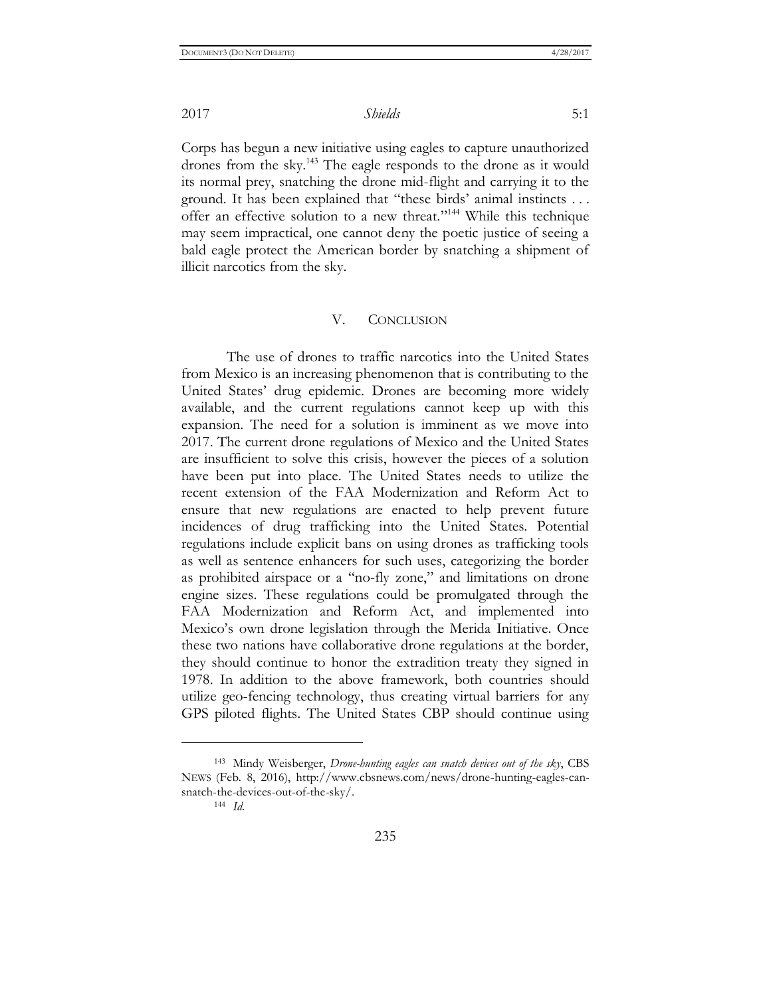Corps has begun a new initiative using eagles to capture unauthorized drones from the sky.<sup>143</sup> The eagle responds to the drone as it would its normal prey, snatching the drone mid-flight and carrying it to the ground. It has been explained that "these birds' animal instincts . . . offer an effective solution to a new threat."<sup>144</sup> While this technique may seem impractical, one cannot deny the poetic justice of seeing a bald eagle protect the American border by snatching a shipment of illicit narcotics from the sky.

#### V. CONCLUSION

The use of drones to traffic narcotics into the United States from Mexico is an increasing phenomenon that is contributing to the United States' drug epidemic. Drones are becoming more widely available, and the current regulations cannot keep up with this expansion. The need for a solution is imminent as we move into 2017. The current drone regulations of Mexico and the United States are insufficient to solve this crisis, however the pieces of a solution have been put into place. The United States needs to utilize the recent extension of the FAA Modernization and Reform Act to ensure that new regulations are enacted to help prevent future incidences of drug trafficking into the United States. Potential regulations include explicit bans on using drones as trafficking tools as well as sentence enhancers for such uses, categorizing the border as prohibited airspace or a "no-fly zone," and limitations on drone engine sizes. These regulations could be promulgated through the FAA Modernization and Reform Act, and implemented into Mexico's own drone legislation through the Merida Initiative. Once these two nations have collaborative drone regulations at the border, they should continue to honor the extradition treaty they signed in 1978. In addition to the above framework, both countries should utilize geo-fencing technology, thus creating virtual barriers for any GPS piloted flights. The United States CBP should continue using

<sup>143</sup> Mindy Weisberger, *Drone-hunting eagles can snatch devices out of the sky*, CBS NEWS (Feb. 8, 2016), http://www.cbsnews.com/news/drone-hunting-eagles-cansnatch-the-devices-out-of-the-sky/.

<sup>144</sup> *Id.*